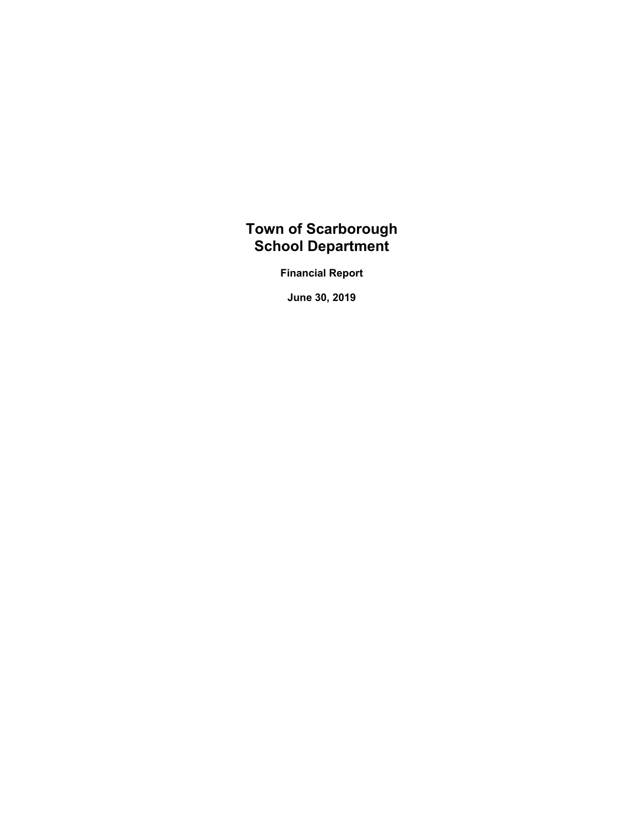# **Town of Scarborough School Department**

**Financial Report**

**June 30, 2019**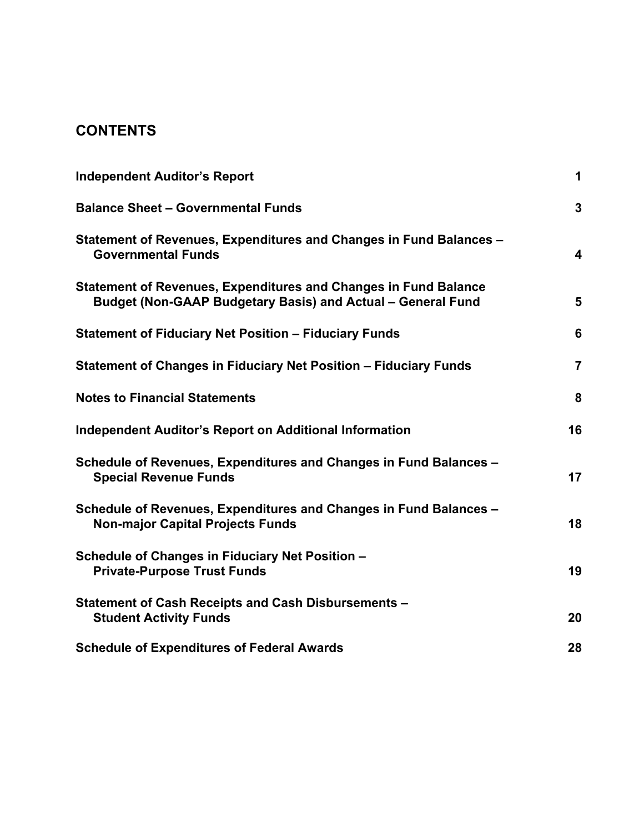# **CONTENTS**

| <b>Independent Auditor's Report</b>                                                                                                   | 1              |
|---------------------------------------------------------------------------------------------------------------------------------------|----------------|
| <b>Balance Sheet - Governmental Funds</b>                                                                                             | $\mathbf{3}$   |
| Statement of Revenues, Expenditures and Changes in Fund Balances -<br><b>Governmental Funds</b>                                       | 4              |
| <b>Statement of Revenues, Expenditures and Changes in Fund Balance</b><br>Budget (Non-GAAP Budgetary Basis) and Actual - General Fund | 5              |
| <b>Statement of Fiduciary Net Position - Fiduciary Funds</b>                                                                          | 6              |
| Statement of Changes in Fiduciary Net Position - Fiduciary Funds                                                                      | $\overline{7}$ |
| <b>Notes to Financial Statements</b>                                                                                                  | 8              |
| <b>Independent Auditor's Report on Additional Information</b>                                                                         | 16             |
| Schedule of Revenues, Expenditures and Changes in Fund Balances -<br><b>Special Revenue Funds</b>                                     | 17             |
| Schedule of Revenues, Expenditures and Changes in Fund Balances -<br><b>Non-major Capital Projects Funds</b>                          | 18             |
| Schedule of Changes in Fiduciary Net Position -<br><b>Private-Purpose Trust Funds</b>                                                 | 19             |
| <b>Statement of Cash Receipts and Cash Disbursements -</b><br><b>Student Activity Funds</b>                                           | 20             |
| <b>Schedule of Expenditures of Federal Awards</b>                                                                                     | 28             |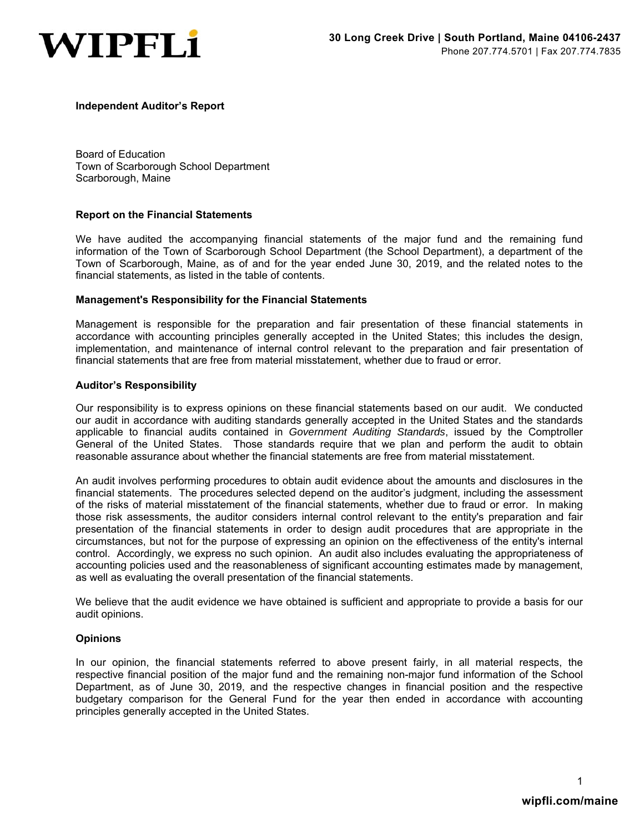

#### **Independent Auditor's Report**

Board of Education Town of Scarborough School Department Scarborough, Maine

#### **Report on the Financial Statements**

We have audited the accompanying financial statements of the major fund and the remaining fund information of the Town of Scarborough School Department (the School Department), a department of the Town of Scarborough, Maine, as of and for the year ended June 30, 2019, and the related notes to the financial statements, as listed in the table of contents.

#### **Management's Responsibility for the Financial Statements**

Management is responsible for the preparation and fair presentation of these financial statements in accordance with accounting principles generally accepted in the United States; this includes the design, implementation, and maintenance of internal control relevant to the preparation and fair presentation of financial statements that are free from material misstatement, whether due to fraud or error.

#### **Auditor's Responsibility**

Our responsibility is to express opinions on these financial statements based on our audit. We conducted our audit in accordance with auditing standards generally accepted in the United States and the standards applicable to financial audits contained in *Government Auditing Standards*, issued by the Comptroller General of the United States. Those standards require that we plan and perform the audit to obtain reasonable assurance about whether the financial statements are free from material misstatement.

An audit involves performing procedures to obtain audit evidence about the amounts and disclosures in the financial statements. The procedures selected depend on the auditor's judgment, including the assessment of the risks of material misstatement of the financial statements, whether due to fraud or error. In making those risk assessments, the auditor considers internal control relevant to the entity's preparation and fair presentation of the financial statements in order to design audit procedures that are appropriate in the circumstances, but not for the purpose of expressing an opinion on the effectiveness of the entity's internal control. Accordingly, we express no such opinion. An audit also includes evaluating the appropriateness of accounting policies used and the reasonableness of significant accounting estimates made by management, as well as evaluating the overall presentation of the financial statements.

We believe that the audit evidence we have obtained is sufficient and appropriate to provide a basis for our audit opinions.

#### **Opinions**

In our opinion, the financial statements referred to above present fairly, in all material respects, the respective financial position of the major fund and the remaining non-major fund information of the School Department, as of June 30, 2019, and the respective changes in financial position and the respective budgetary comparison for the General Fund for the year then ended in accordance with accounting principles generally accepted in the United States.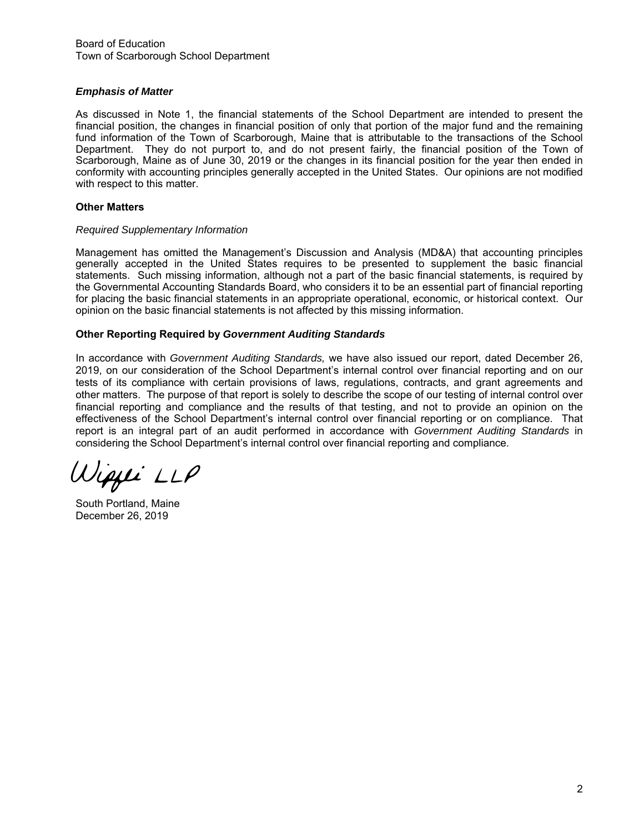#### *Emphasis of Matter*

As discussed in Note 1, the financial statements of the School Department are intended to present the financial position, the changes in financial position of only that portion of the major fund and the remaining fund information of the Town of Scarborough, Maine that is attributable to the transactions of the School Department. They do not purport to, and do not present fairly, the financial position of the Town of Scarborough, Maine as of June 30, 2019 or the changes in its financial position for the year then ended in conformity with accounting principles generally accepted in the United States. Our opinions are not modified with respect to this matter.

#### **Other Matters**

#### *Required Supplementary Information*

Management has omitted the Management's Discussion and Analysis (MD&A) that accounting principles generally accepted in the United States requires to be presented to supplement the basic financial statements. Such missing information, although not a part of the basic financial statements, is required by the Governmental Accounting Standards Board, who considers it to be an essential part of financial reporting for placing the basic financial statements in an appropriate operational, economic, or historical context. Our opinion on the basic financial statements is not affected by this missing information.

### **Other Reporting Required by** *Government Auditing Standards*

In accordance with *Government Auditing Standards,* we have also issued our report, dated December 26, 2019, on our consideration of the School Department's internal control over financial reporting and on our tests of its compliance with certain provisions of laws, regulations, contracts, and grant agreements and other matters. The purpose of that report is solely to describe the scope of our testing of internal control over financial reporting and compliance and the results of that testing, and not to provide an opinion on the effectiveness of the School Department's internal control over financial reporting or on compliance. That report is an integral part of an audit performed in accordance with *Government Auditing Standards* in considering the School Department's internal control over financial reporting and compliance.

Vippi LLP

South Portland, Maine December 26, 2019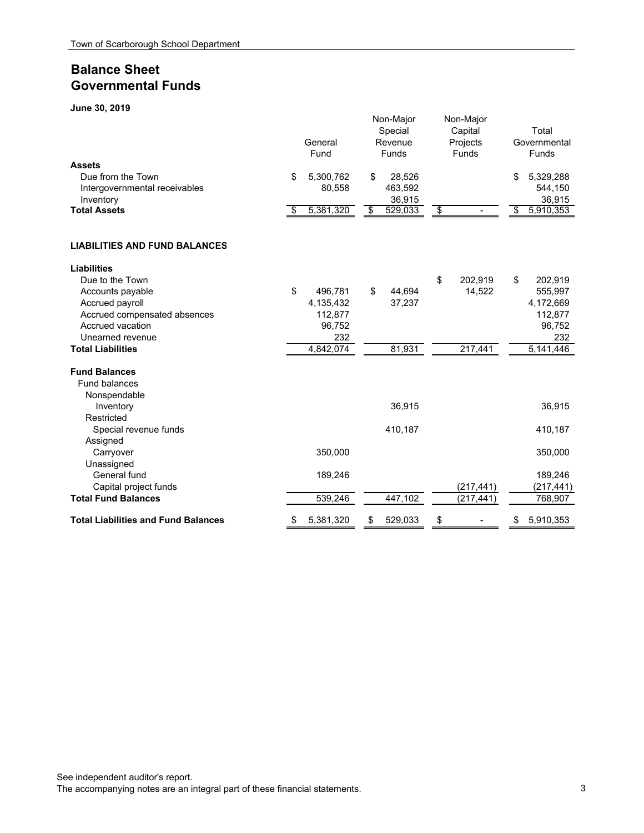# **Balance Sheet Governmental Funds**

**June 30, 2019**

| <b>Assets</b><br>Due from the Town<br>Intergovernmental receivables<br>Inventory                                                                                                 | \$<br>General<br>Fund<br>5,300,762<br>80,558                        | \$<br>Non-Major<br>Special<br>Revenue<br>Funds<br>28,526<br>463,592<br>36,915 |                           | Non-Major<br>Capital<br>Projects<br>Funds | S  | Total<br>Governmental<br>Funds<br>5,329,288<br>544,150<br>36,915         |
|----------------------------------------------------------------------------------------------------------------------------------------------------------------------------------|---------------------------------------------------------------------|-------------------------------------------------------------------------------|---------------------------|-------------------------------------------|----|--------------------------------------------------------------------------|
| <b>Total Assets</b>                                                                                                                                                              | \$<br>5,381,320                                                     | \$<br>529,033                                                                 | $\boldsymbol{\hat{\phi}}$ |                                           | \$ | 5,910,353                                                                |
| <b>LIABILITIES AND FUND BALANCES</b>                                                                                                                                             |                                                                     |                                                                               |                           |                                           |    |                                                                          |
| <b>Liabilities</b><br>Due to the Town<br>Accounts payable<br>Accrued payroll<br>Accrued compensated absences<br>Accrued vacation<br>Unearned revenue<br><b>Total Liabilities</b> | \$<br>496,781<br>4,135,432<br>112,877<br>96,752<br>232<br>4,842,074 | \$<br>44,694<br>37,237<br>81,931                                              | \$                        | 202,919<br>14,522<br>217,441              | \$ | 202,919<br>555,997<br>4,172,669<br>112,877<br>96,752<br>232<br>5,141,446 |
| <b>Fund Balances</b>                                                                                                                                                             |                                                                     |                                                                               |                           |                                           |    |                                                                          |
| <b>Fund balances</b><br>Nonspendable<br>Inventory<br>Restricted<br>Special revenue funds                                                                                         |                                                                     | 36,915<br>410,187                                                             |                           |                                           |    | 36,915<br>410,187                                                        |
| Assigned<br>Carryover                                                                                                                                                            | 350,000                                                             |                                                                               |                           |                                           |    | 350,000                                                                  |
| Unassigned<br>General fund<br>Capital project funds                                                                                                                              | 189,246                                                             |                                                                               |                           | (217, 441)                                |    | 189,246<br>(217,441)                                                     |
| <b>Total Fund Balances</b>                                                                                                                                                       | 539,246                                                             | 447,102                                                                       |                           | (217, 441)                                |    | 768,907                                                                  |
| <b>Total Liabilities and Fund Balances</b>                                                                                                                                       | \$<br>5,381,320                                                     | \$<br>529,033                                                                 | \$                        |                                           | \$ | 5,910,353                                                                |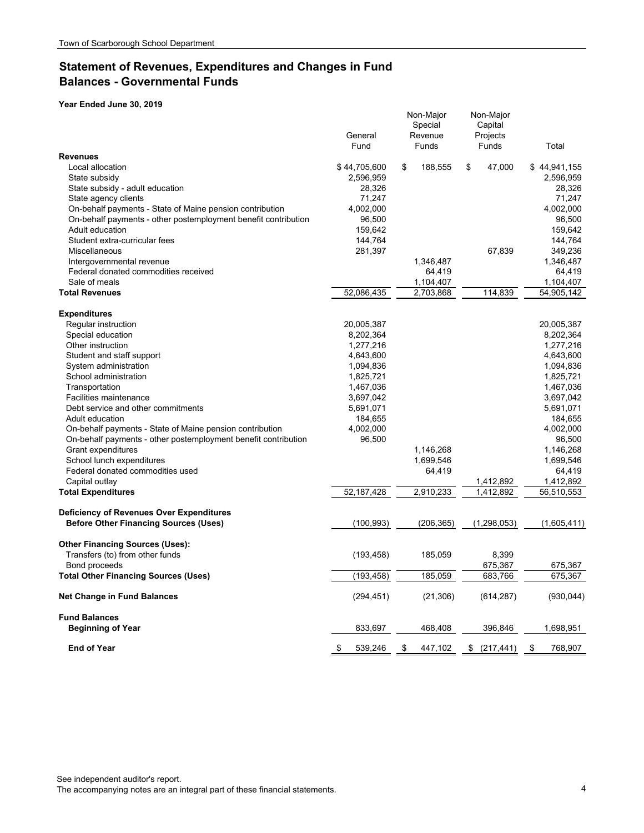# **Statement of Revenues, Expenditures and Changes in Fund Balances - Governmental Funds**

|                                                                | General<br>Fund | Non-Major<br>Special<br>Revenue<br>Funds | Non-Major<br>Capital<br>Projects<br>Funds | Total         |
|----------------------------------------------------------------|-----------------|------------------------------------------|-------------------------------------------|---------------|
| <b>Revenues</b>                                                |                 |                                          |                                           |               |
| Local allocation                                               | \$44,705,600    | \$<br>188,555                            | \$<br>47,000                              | \$44,941,155  |
| State subsidy                                                  | 2,596,959       |                                          |                                           | 2,596,959     |
| State subsidy - adult education                                | 28,326          |                                          |                                           | 28,326        |
| State agency clients                                           | 71,247          |                                          |                                           | 71,247        |
| On-behalf payments - State of Maine pension contribution       | 4,002,000       |                                          |                                           | 4,002,000     |
| On-behalf payments - other postemployment benefit contribution | 96,500          |                                          |                                           | 96,500        |
| Adult education                                                | 159,642         |                                          |                                           | 159,642       |
| Student extra-curricular fees                                  | 144,764         |                                          |                                           | 144,764       |
| Miscellaneous                                                  | 281,397         |                                          | 67,839                                    | 349,236       |
| Intergovernmental revenue                                      |                 | 1,346,487                                |                                           | 1,346,487     |
| Federal donated commodities received                           |                 | 64,419                                   |                                           | 64,419        |
| Sale of meals                                                  |                 | 1,104,407                                |                                           | 1,104,407     |
| <b>Total Revenues</b>                                          | 52,086,435      | 2,703,868                                | 114,839                                   | 54,905,142    |
| <b>Expenditures</b>                                            |                 |                                          |                                           |               |
| Regular instruction                                            | 20,005,387      |                                          |                                           | 20,005,387    |
| Special education                                              | 8,202,364       |                                          |                                           | 8,202,364     |
| Other instruction                                              | 1,277,216       |                                          |                                           | 1,277,216     |
| Student and staff support                                      | 4,643,600       |                                          |                                           | 4,643,600     |
| System administration                                          | 1,094,836       |                                          |                                           | 1,094,836     |
| School administration                                          | 1,825,721       |                                          |                                           | 1,825,721     |
| Transportation                                                 | 1,467,036       |                                          |                                           | 1,467,036     |
| Facilities maintenance                                         | 3,697,042       |                                          |                                           | 3,697,042     |
| Debt service and other commitments                             | 5,691,071       |                                          |                                           | 5,691,071     |
| Adult education                                                | 184,655         |                                          |                                           | 184,655       |
| On-behalf payments - State of Maine pension contribution       | 4,002,000       |                                          |                                           | 4,002,000     |
| On-behalf payments - other postemployment benefit contribution | 96,500          |                                          |                                           | 96,500        |
| Grant expenditures                                             |                 | 1,146,268                                |                                           | 1,146,268     |
| School lunch expenditures                                      |                 | 1,699,546                                |                                           | 1,699,546     |
| Federal donated commodities used                               |                 | 64,419                                   |                                           | 64,419        |
| Capital outlay                                                 |                 |                                          | 1,412,892                                 | 1,412,892     |
| <b>Total Expenditures</b>                                      | 52,187,428      | 2,910,233                                | 1,412,892                                 | 56,510,553    |
| Deficiency of Revenues Over Expenditures                       |                 |                                          |                                           |               |
| <b>Before Other Financing Sources (Uses)</b>                   | (100, 993)      | (206, 365)                               | (1,298,053)                               | (1,605,411)   |
| <b>Other Financing Sources (Uses):</b>                         |                 |                                          |                                           |               |
| Transfers (to) from other funds                                | (193, 458)      | 185,059                                  | 8,399                                     |               |
| Bond proceeds                                                  |                 |                                          | 675,367                                   | 675,367       |
| <b>Total Other Financing Sources (Uses)</b>                    | (193, 458)      | 185,059                                  | 683,766                                   | 675,367       |
| <b>Net Change in Fund Balances</b>                             | (294, 451)      | (21, 306)                                | (614, 287)                                | (930, 044)    |
| <b>Fund Balances</b>                                           |                 |                                          |                                           |               |
| <b>Beginning of Year</b>                                       | 833,697         | 468,408                                  | 396,846                                   | 1,698,951     |
| <b>End of Year</b>                                             | \$<br>539,246   | 447,102<br>\$                            | \$(217, 441)                              | \$<br>768,907 |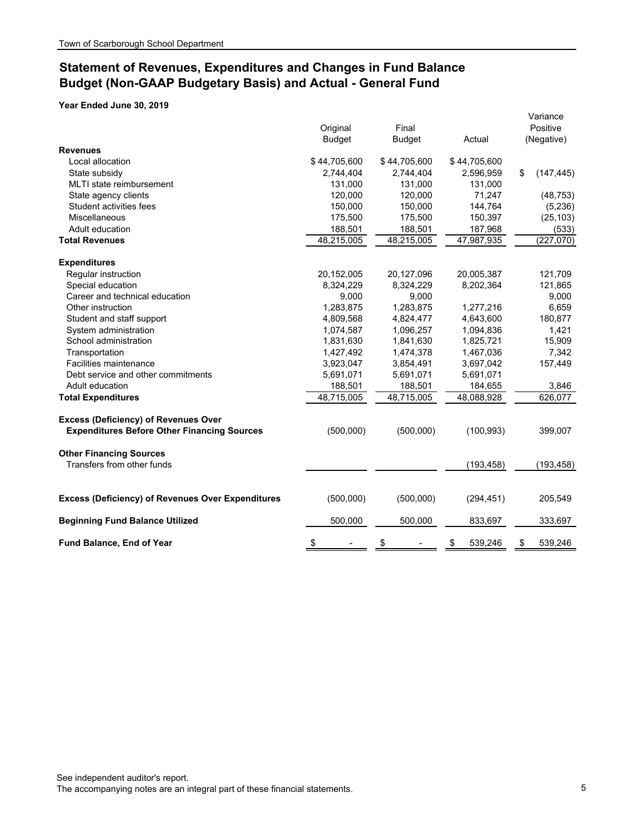# **Statement of Revenues, Expenditures and Changes in Fund Balance Budget (Non-GAAP Budgetary Basis) and Actual - General Fund**

|                                                                                                   | Original<br><b>Budget</b> | Final<br><b>Budget</b> | Actual        | Variance<br>Positive<br>(Negative) |
|---------------------------------------------------------------------------------------------------|---------------------------|------------------------|---------------|------------------------------------|
| <b>Revenues</b>                                                                                   |                           |                        |               |                                    |
| Local allocation                                                                                  | \$44,705,600              | \$44,705,600           | \$44,705,600  |                                    |
| State subsidy                                                                                     | 2,744,404                 | 2,744,404              | 2,596,959     | \$<br>(147, 445)                   |
| MLTI state reimbursement                                                                          | 131,000                   | 131,000                | 131.000       |                                    |
| State agency clients                                                                              | 120,000                   | 120,000                | 71,247        | (48, 753)                          |
| Student activities fees                                                                           | 150,000                   | 150,000                | 144,764       | (5,236)                            |
| <b>Miscellaneous</b>                                                                              | 175,500                   | 175,500                | 150,397       | (25, 103)                          |
| Adult education                                                                                   | 188,501                   | 188,501                | 187,968       | (533)                              |
| <b>Total Revenues</b>                                                                             | 48,215,005                | 48,215,005             | 47,987,935    | (227,070)                          |
| <b>Expenditures</b>                                                                               |                           |                        |               |                                    |
| Regular instruction                                                                               | 20,152,005                | 20,127,096             | 20,005,387    | 121,709                            |
| Special education                                                                                 | 8,324,229                 | 8,324,229              | 8,202,364     | 121,865                            |
| Career and technical education                                                                    | 9,000                     | 9,000                  |               | 9,000                              |
| Other instruction                                                                                 | 1,283,875                 | 1,283,875              | 1,277,216     | 6,659                              |
| Student and staff support                                                                         | 4,809,568                 | 4,824,477              | 4,643,600     | 180,877                            |
| System administration                                                                             | 1,074,587                 | 1,096,257              | 1,094,836     | 1,421                              |
| School administration                                                                             | 1,831,630                 | 1,841,630              | 1,825,721     | 15,909                             |
| Transportation                                                                                    | 1,427,492                 | 1,474,378              | 1,467,036     | 7,342                              |
| <b>Facilities maintenance</b>                                                                     | 3,923,047                 | 3,854,491              | 3,697,042     | 157,449                            |
| Debt service and other commitments                                                                | 5,691,071                 | 5,691,071              | 5,691,071     |                                    |
| Adult education                                                                                   | 188,501                   | 188,501                | 184,655       | 3,846                              |
| <b>Total Expenditures</b>                                                                         | 48,715,005                | 48,715,005             | 48,088,928    | 626,077                            |
| <b>Excess (Deficiency) of Revenues Over</b><br><b>Expenditures Before Other Financing Sources</b> | (500,000)                 | (500,000)              | (100, 993)    | 399,007                            |
| <b>Other Financing Sources</b><br>Transfers from other funds                                      |                           |                        |               |                                    |
|                                                                                                   |                           |                        | (193, 458)    | (193, 458)                         |
| <b>Excess (Deficiency) of Revenues Over Expenditures</b>                                          | (500,000)                 | (500,000)              | (294, 451)    | 205,549                            |
| <b>Beginning Fund Balance Utilized</b>                                                            | 500,000                   | 500,000                | 833,697       | 333,697                            |
| <b>Fund Balance, End of Year</b>                                                                  | \$                        | \$                     | \$<br>539,246 | \$<br>539,246                      |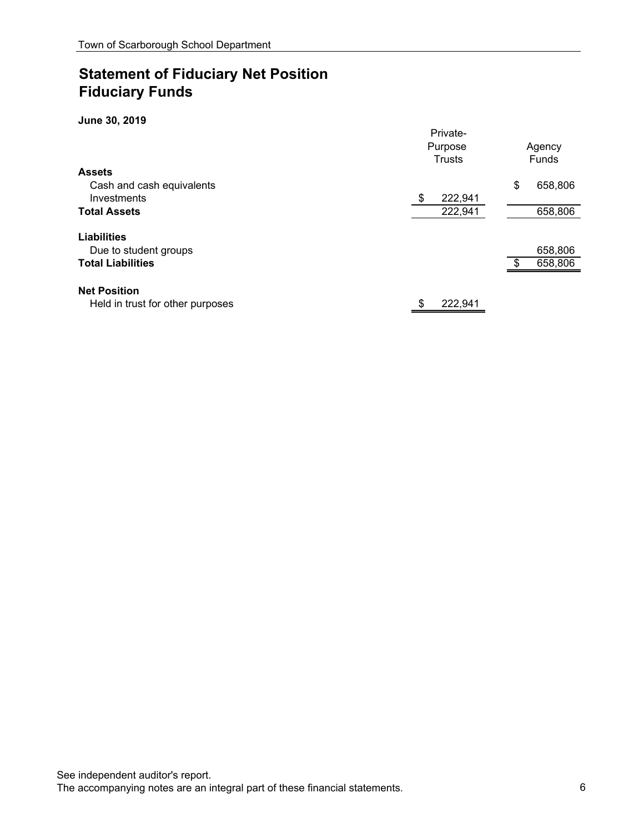# **Statement of Fiduciary Net Position Fiduciary Funds**

# **June 30, 2019**

|                                  | Private-<br>Purpose<br><b>Trusts</b> | Agency<br><b>Funds</b> |
|----------------------------------|--------------------------------------|------------------------|
| <b>Assets</b>                    |                                      |                        |
| Cash and cash equivalents        |                                      | \$<br>658,806          |
| Investments                      | 222,941<br>- \$                      |                        |
| <b>Total Assets</b>              | 222,941                              | 658,806                |
| <b>Liabilities</b>               |                                      |                        |
| Due to student groups            |                                      | 658,806                |
| <b>Total Liabilities</b>         |                                      | 658,806                |
| <b>Net Position</b>              |                                      |                        |
| Held in trust for other purposes | 222,941<br>\$                        |                        |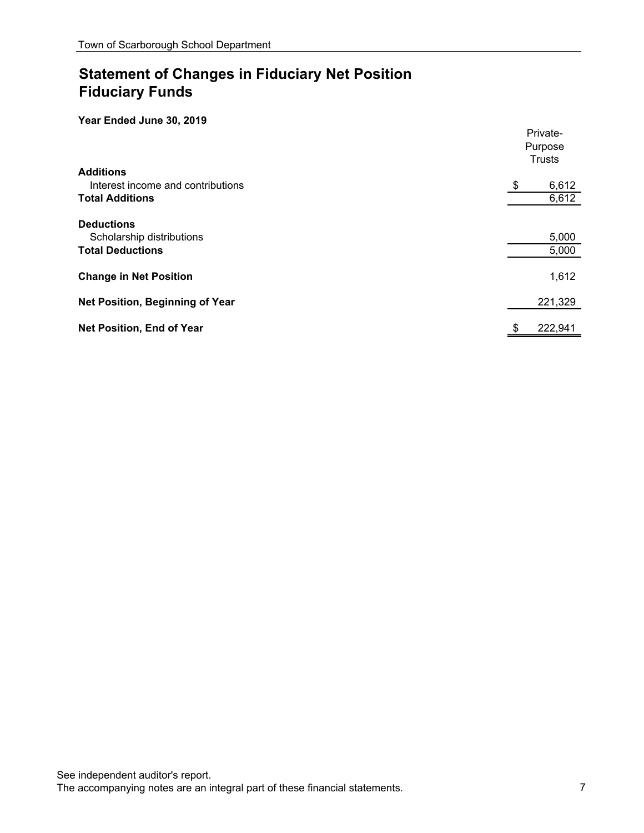# **Statement of Changes in Fiduciary Net Position Fiduciary Funds**

|                                   | Private-<br>Purpose<br><b>Trusts</b> |
|-----------------------------------|--------------------------------------|
| <b>Additions</b>                  |                                      |
| Interest income and contributions | 6,612<br>\$                          |
| <b>Total Additions</b>            | 6,612                                |
| <b>Deductions</b>                 |                                      |
| Scholarship distributions         | 5,000                                |
| <b>Total Deductions</b>           | 5,000                                |
| <b>Change in Net Position</b>     | 1,612                                |
| Net Position, Beginning of Year   | 221,329                              |
| Net Position, End of Year         | 222,941<br>\$                        |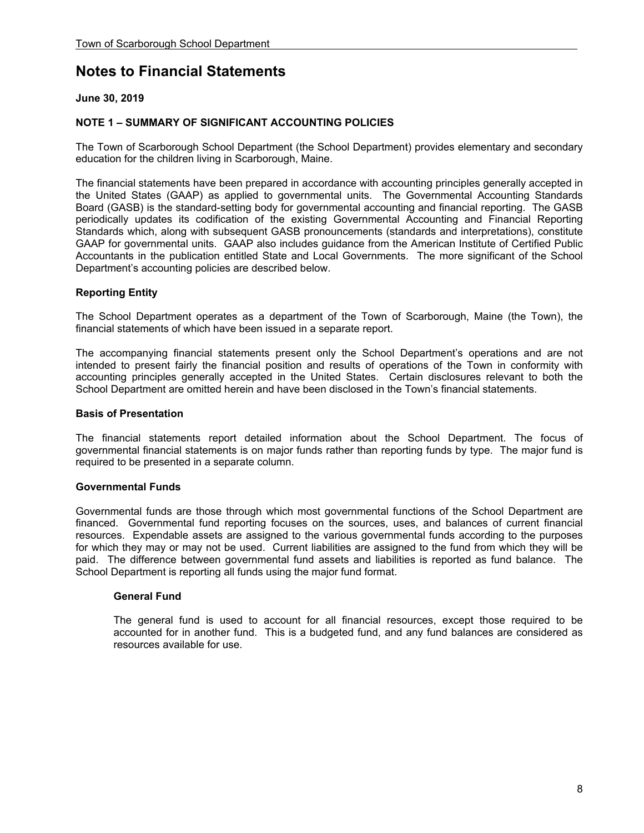# **June 30, 2019**

# **NOTE 1 – SUMMARY OF SIGNIFICANT ACCOUNTING POLICIES**

The Town of Scarborough School Department (the School Department) provides elementary and secondary education for the children living in Scarborough, Maine.

The financial statements have been prepared in accordance with accounting principles generally accepted in the United States (GAAP) as applied to governmental units. The Governmental Accounting Standards Board (GASB) is the standard-setting body for governmental accounting and financial reporting. The GASB periodically updates its codification of the existing Governmental Accounting and Financial Reporting Standards which, along with subsequent GASB pronouncements (standards and interpretations), constitute GAAP for governmental units. GAAP also includes guidance from the American Institute of Certified Public Accountants in the publication entitled State and Local Governments. The more significant of the School Department's accounting policies are described below.

## **Reporting Entity**

 The School Department operates as a department of the Town of Scarborough, Maine (the Town), the financial statements of which have been issued in a separate report.

 The accompanying financial statements present only the School Department's operations and are not intended to present fairly the financial position and results of operations of the Town in conformity with accounting principles generally accepted in the United States. Certain disclosures relevant to both the School Department are omitted herein and have been disclosed in the Town's financial statements.

#### **Basis of Presentation**

 The financial statements report detailed information about the School Department. The focus of governmental financial statements is on major funds rather than reporting funds by type. The major fund is required to be presented in a separate column.

#### **Governmental Funds**

Governmental funds are those through which most governmental functions of the School Department are financed. Governmental fund reporting focuses on the sources, uses, and balances of current financial resources. Expendable assets are assigned to the various governmental funds according to the purposes for which they may or may not be used. Current liabilities are assigned to the fund from which they will be paid. The difference between governmental fund assets and liabilities is reported as fund balance. The School Department is reporting all funds using the major fund format.

### **General Fund**

The general fund is used to account for all financial resources, except those required to be accounted for in another fund. This is a budgeted fund, and any fund balances are considered as resources available for use.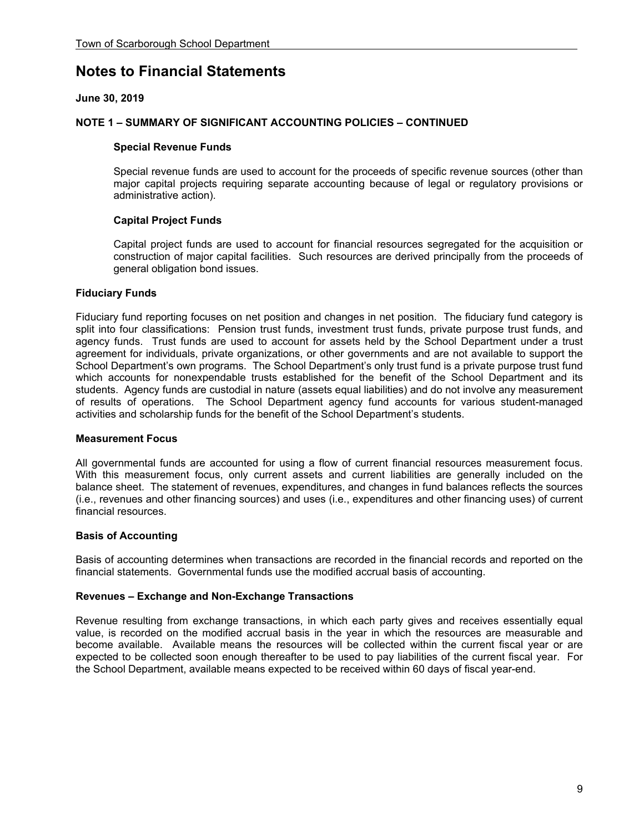# **June 30, 2019**

## **NOTE 1 – SUMMARY OF SIGNIFICANT ACCOUNTING POLICIES – CONTINUED**

#### **Special Revenue Funds**

Special revenue funds are used to account for the proceeds of specific revenue sources (other than major capital projects requiring separate accounting because of legal or regulatory provisions or administrative action).

## **Capital Project Funds**

Capital project funds are used to account for financial resources segregated for the acquisition or construction of major capital facilities. Such resources are derived principally from the proceeds of general obligation bond issues.

### **Fiduciary Funds**

Fiduciary fund reporting focuses on net position and changes in net position. The fiduciary fund category is split into four classifications: Pension trust funds, investment trust funds, private purpose trust funds, and agency funds. Trust funds are used to account for assets held by the School Department under a trust agreement for individuals, private organizations, or other governments and are not available to support the School Department's own programs. The School Department's only trust fund is a private purpose trust fund which accounts for nonexpendable trusts established for the benefit of the School Department and its students. Agency funds are custodial in nature (assets equal liabilities) and do not involve any measurement of results of operations. The School Department agency fund accounts for various student-managed activities and scholarship funds for the benefit of the School Department's students.

#### **Measurement Focus**

All governmental funds are accounted for using a flow of current financial resources measurement focus. With this measurement focus, only current assets and current liabilities are generally included on the balance sheet. The statement of revenues, expenditures, and changes in fund balances reflects the sources (i.e., revenues and other financing sources) and uses (i.e., expenditures and other financing uses) of current financial resources.

#### **Basis of Accounting**

Basis of accounting determines when transactions are recorded in the financial records and reported on the financial statements. Governmental funds use the modified accrual basis of accounting.

#### **Revenues – Exchange and Non-Exchange Transactions**

Revenue resulting from exchange transactions, in which each party gives and receives essentially equal value, is recorded on the modified accrual basis in the year in which the resources are measurable and become available. Available means the resources will be collected within the current fiscal year or are expected to be collected soon enough thereafter to be used to pay liabilities of the current fiscal year. For the School Department, available means expected to be received within 60 days of fiscal year-end.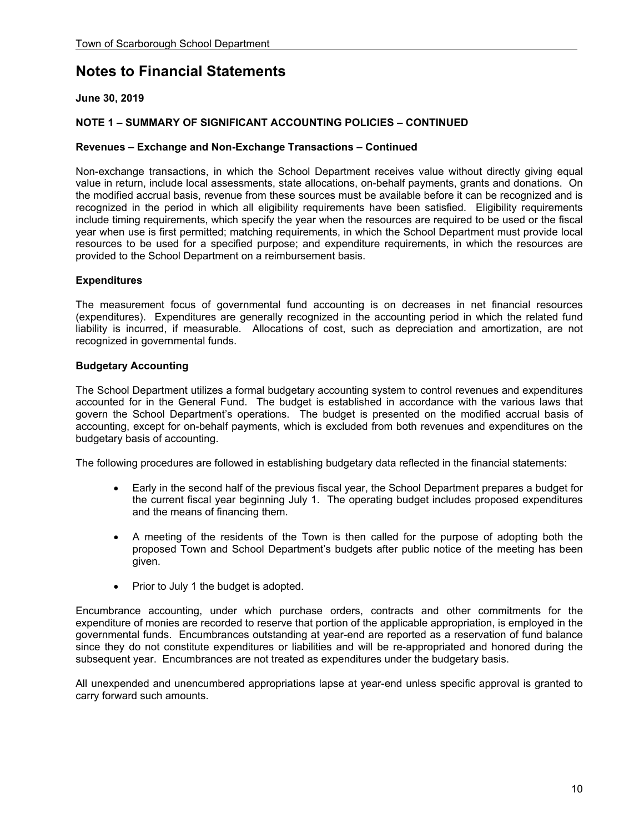# **June 30, 2019**

# **NOTE 1 – SUMMARY OF SIGNIFICANT ACCOUNTING POLICIES – CONTINUED**

### **Revenues – Exchange and Non-Exchange Transactions – Continued**

Non-exchange transactions, in which the School Department receives value without directly giving equal value in return, include local assessments, state allocations, on-behalf payments, grants and donations. On the modified accrual basis, revenue from these sources must be available before it can be recognized and is recognized in the period in which all eligibility requirements have been satisfied. Eligibility requirements include timing requirements, which specify the year when the resources are required to be used or the fiscal year when use is first permitted; matching requirements, in which the School Department must provide local resources to be used for a specified purpose; and expenditure requirements, in which the resources are provided to the School Department on a reimbursement basis.

### **Expenditures**

The measurement focus of governmental fund accounting is on decreases in net financial resources (expenditures). Expenditures are generally recognized in the accounting period in which the related fund liability is incurred, if measurable. Allocations of cost, such as depreciation and amortization, are not recognized in governmental funds.

### **Budgetary Accounting**

The School Department utilizes a formal budgetary accounting system to control revenues and expenditures accounted for in the General Fund. The budget is established in accordance with the various laws that govern the School Department's operations. The budget is presented on the modified accrual basis of accounting, except for on-behalf payments, which is excluded from both revenues and expenditures on the budgetary basis of accounting.

The following procedures are followed in establishing budgetary data reflected in the financial statements:

- Early in the second half of the previous fiscal year, the School Department prepares a budget for the current fiscal year beginning July 1. The operating budget includes proposed expenditures and the means of financing them.
- A meeting of the residents of the Town is then called for the purpose of adopting both the proposed Town and School Department's budgets after public notice of the meeting has been given.
- Prior to July 1 the budget is adopted.

Encumbrance accounting, under which purchase orders, contracts and other commitments for the expenditure of monies are recorded to reserve that portion of the applicable appropriation, is employed in the governmental funds. Encumbrances outstanding at year-end are reported as a reservation of fund balance since they do not constitute expenditures or liabilities and will be re-appropriated and honored during the subsequent year. Encumbrances are not treated as expenditures under the budgetary basis.

 All unexpended and unencumbered appropriations lapse at year-end unless specific approval is granted to carry forward such amounts.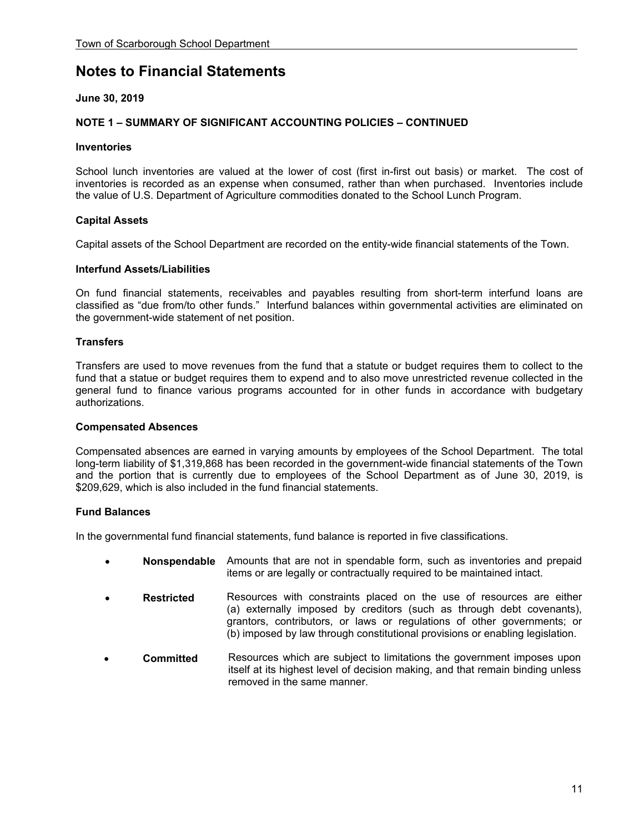# **June 30, 2019**

# **NOTE 1 – SUMMARY OF SIGNIFICANT ACCOUNTING POLICIES – CONTINUED**

#### **Inventories**

School lunch inventories are valued at the lower of cost (first in-first out basis) or market. The cost of inventories is recorded as an expense when consumed, rather than when purchased. Inventories include the value of U.S. Department of Agriculture commodities donated to the School Lunch Program.

## **Capital Assets**

Capital assets of the School Department are recorded on the entity-wide financial statements of the Town.

### **Interfund Assets/Liabilities**

On fund financial statements, receivables and payables resulting from short-term interfund loans are classified as "due from/to other funds." Interfund balances within governmental activities are eliminated on the government-wide statement of net position.

### **Transfers**

Transfers are used to move revenues from the fund that a statute or budget requires them to collect to the fund that a statue or budget requires them to expend and to also move unrestricted revenue collected in the general fund to finance various programs accounted for in other funds in accordance with budgetary authorizations.

#### **Compensated Absences**

Compensated absences are earned in varying amounts by employees of the School Department. The total long-term liability of \$1,319,868 has been recorded in the government-wide financial statements of the Town and the portion that is currently due to employees of the School Department as of June 30, 2019, is \$209,629, which is also included in the fund financial statements.

## **Fund Balances**

In the governmental fund financial statements, fund balance is reported in five classifications.

- **Nonspendable** Amounts that are not in spendable form, such as inventories and prepaid items or are legally or contractually required to be maintained intact.
- **Restricted** Resources with constraints placed on the use of resources are either (a) externally imposed by creditors (such as through debt covenants), grantors, contributors, or laws or regulations of other governments; or (b) imposed by law through constitutional provisions or enabling legislation.
- **Committed** Resources which are subject to limitations the government imposes upon itself at its highest level of decision making, and that remain binding unless removed in the same manner.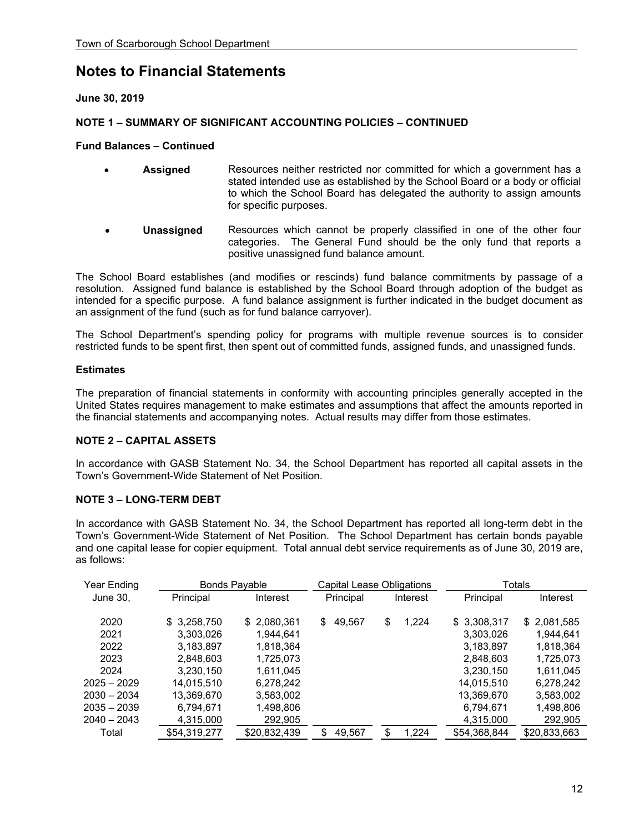**June 30, 2019** 

# **NOTE 1 – SUMMARY OF SIGNIFICANT ACCOUNTING POLICIES – CONTINUED**

### **Fund Balances – Continued**

| $\bullet$ | <b>Assigned</b> | Resources neither restricted nor committed for which a government has a<br>stated intended use as established by the School Board or a body or official<br>to which the School Board has delegated the authority to assign amounts<br>for specific purposes. |
|-----------|-----------------|--------------------------------------------------------------------------------------------------------------------------------------------------------------------------------------------------------------------------------------------------------------|
|           |                 |                                                                                                                                                                                                                                                              |

 **Unassigned** Resources which cannot be properly classified in one of the other four categories. The General Fund should be the only fund that reports a positive unassigned fund balance amount.

 The School Board establishes (and modifies or rescinds) fund balance commitments by passage of a resolution. Assigned fund balance is established by the School Board through adoption of the budget as intended for a specific purpose. A fund balance assignment is further indicated in the budget document as an assignment of the fund (such as for fund balance carryover).

 The School Department's spending policy for programs with multiple revenue sources is to consider restricted funds to be spent first, then spent out of committed funds, assigned funds, and unassigned funds.

## **Estimates**

The preparation of financial statements in conformity with accounting principles generally accepted in the United States requires management to make estimates and assumptions that affect the amounts reported in the financial statements and accompanying notes. Actual results may differ from those estimates.

# **NOTE 2 – CAPITAL ASSETS**

In accordance with GASB Statement No. 34, the School Department has reported all capital assets in the Town's Government-Wide Statement of Net Position.

## **NOTE 3 – LONG-TERM DEBT**

In accordance with GASB Statement No. 34, the School Department has reported all long-term debt in the Town's Government-Wide Statement of Net Position. The School Department has certain bonds payable and one capital lease for copier equipment. Total annual debt service requirements as of June 30, 2019 are, as follows:

| Year Ending   |              | <b>Bonds Payable</b> |               | Capital Lease Obligations |              | Totals       |
|---------------|--------------|----------------------|---------------|---------------------------|--------------|--------------|
| June 30,      | Principal    | Interest             | Principal     | Interest                  | Principal    | Interest     |
| 2020          | \$3.258.750  | \$2.080.361          | 49.567<br>\$. | \$<br>1,224               | \$3,308,317  | \$2,081,585  |
| 2021          | 3,303,026    | 1,944,641            |               |                           | 3,303,026    | 1,944,641    |
| 2022          | 3,183,897    | 1,818,364            |               |                           | 3,183,897    | 1,818,364    |
| 2023          | 2,848,603    | 1,725,073            |               |                           | 2,848,603    | 1,725,073    |
| 2024          | 3,230,150    | 1,611,045            |               |                           | 3,230,150    | 1.611.045    |
| $2025 - 2029$ | 14.015.510   | 6,278,242            |               |                           | 14,015,510   | 6,278,242    |
| $2030 - 2034$ | 13,369,670   | 3,583,002            |               |                           | 13,369,670   | 3,583,002    |
| $2035 - 2039$ | 6,794,671    | 1,498,806            |               |                           | 6,794,671    | 1,498,806    |
| $2040 - 2043$ | 4,315,000    | 292,905              |               |                           | 4,315,000    | 292,905      |
| Total         | \$54,319,277 | \$20,832,439         | 49,567<br>S   | 1,224<br>S                | \$54,368,844 | \$20,833,663 |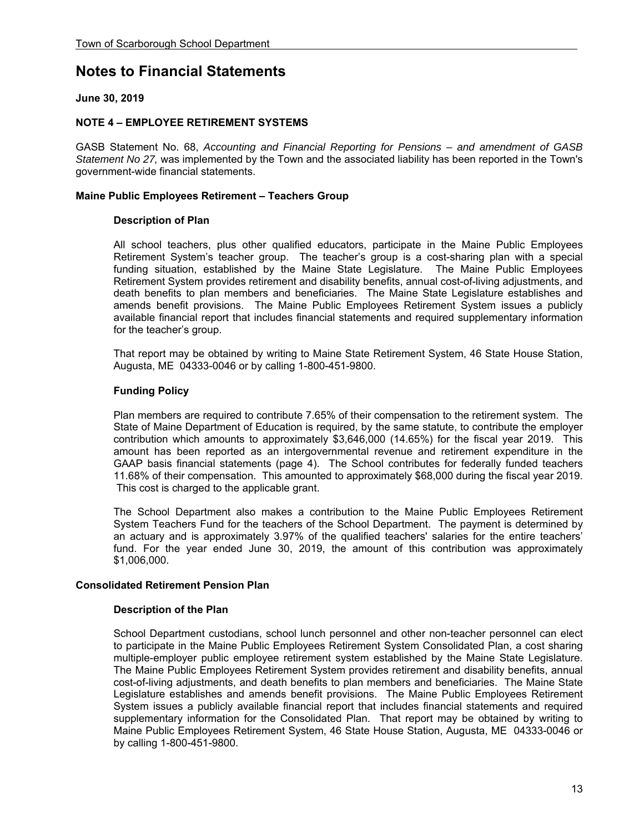# **June 30, 2019**

### **NOTE 4 – EMPLOYEE RETIREMENT SYSTEMS**

GASB Statement No. 68, *Accounting and Financial Reporting for Pensions – and amendment of GASB Statement No 27,* was implemented by the Town and the associated liability has been reported in the Town's government-wide financial statements.

### **Maine Public Employees Retirement – Teachers Group**

### **Description of Plan**

All school teachers, plus other qualified educators, participate in the Maine Public Employees Retirement System's teacher group. The teacher's group is a cost-sharing plan with a special funding situation, established by the Maine State Legislature. The Maine Public Employees Retirement System provides retirement and disability benefits, annual cost-of-living adjustments, and death benefits to plan members and beneficiaries. The Maine State Legislature establishes and amends benefit provisions. The Maine Public Employees Retirement System issues a publicly available financial report that includes financial statements and required supplementary information for the teacher's group.

That report may be obtained by writing to Maine State Retirement System, 46 State House Station, Augusta, ME 04333-0046 or by calling 1-800-451-9800.

### **Funding Policy**

Plan members are required to contribute 7.65% of their compensation to the retirement system. The State of Maine Department of Education is required, by the same statute, to contribute the employer contribution which amounts to approximately \$3,646,000 (14.65%) for the fiscal year 2019. This amount has been reported as an intergovernmental revenue and retirement expenditure in the GAAP basis financial statements (page 4). The School contributes for federally funded teachers 11.68% of their compensation. This amounted to approximately \$68,000 during the fiscal year 2019. This cost is charged to the applicable grant.

The School Department also makes a contribution to the Maine Public Employees Retirement System Teachers Fund for the teachers of the School Department. The payment is determined by an actuary and is approximately 3.97% of the qualified teachers' salaries for the entire teachers' fund. For the year ended June 30, 2019, the amount of this contribution was approximately \$1,006,000.

#### **Consolidated Retirement Pension Plan**

#### **Description of the Plan**

School Department custodians, school lunch personnel and other non-teacher personnel can elect to participate in the Maine Public Employees Retirement System Consolidated Plan, a cost sharing multiple-employer public employee retirement system established by the Maine State Legislature. The Maine Public Employees Retirement System provides retirement and disability benefits, annual cost-of-living adjustments, and death benefits to plan members and beneficiaries. The Maine State Legislature establishes and amends benefit provisions. The Maine Public Employees Retirement System issues a publicly available financial report that includes financial statements and required supplementary information for the Consolidated Plan. That report may be obtained by writing to Maine Public Employees Retirement System, 46 State House Station, Augusta, ME 04333-0046 or by calling 1-800-451-9800.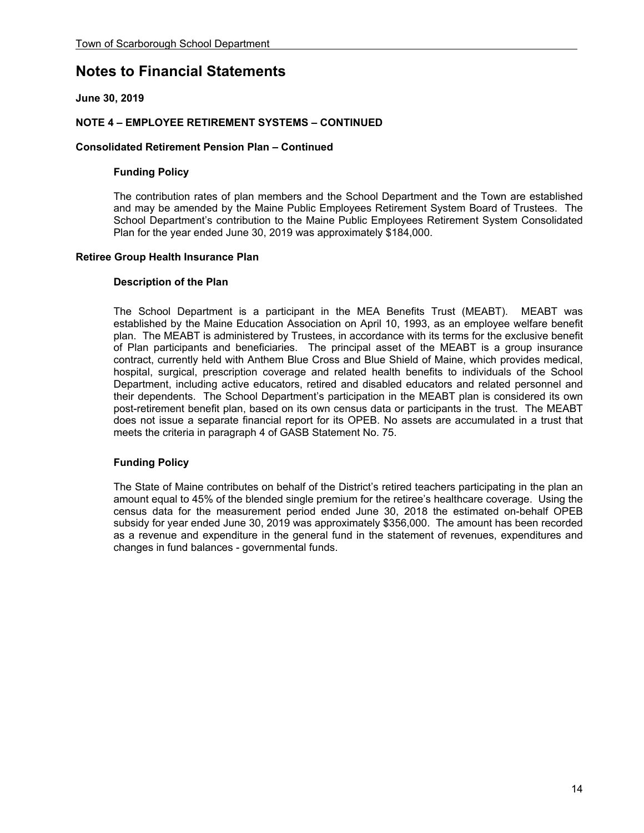# **June 30, 2019**

# **NOTE 4 – EMPLOYEE RETIREMENT SYSTEMS – CONTINUED**

### **Consolidated Retirement Pension Plan – Continued**

### **Funding Policy**

The contribution rates of plan members and the School Department and the Town are established and may be amended by the Maine Public Employees Retirement System Board of Trustees. The School Department's contribution to the Maine Public Employees Retirement System Consolidated Plan for the year ended June 30, 2019 was approximately \$184,000.

### **Retiree Group Health Insurance Plan**

### **Description of the Plan**

The School Department is a participant in the MEA Benefits Trust (MEABT). MEABT was established by the Maine Education Association on April 10, 1993, as an employee welfare benefit plan. The MEABT is administered by Trustees, in accordance with its terms for the exclusive benefit of Plan participants and beneficiaries. The principal asset of the MEABT is a group insurance contract, currently held with Anthem Blue Cross and Blue Shield of Maine, which provides medical, hospital, surgical, prescription coverage and related health benefits to individuals of the School Department, including active educators, retired and disabled educators and related personnel and their dependents. The School Department's participation in the MEABT plan is considered its own post-retirement benefit plan, based on its own census data or participants in the trust. The MEABT does not issue a separate financial report for its OPEB. No assets are accumulated in a trust that meets the criteria in paragraph 4 of GASB Statement No. 75.

## **Funding Policy**

The State of Maine contributes on behalf of the District's retired teachers participating in the plan an amount equal to 45% of the blended single premium for the retiree's healthcare coverage. Using the census data for the measurement period ended June 30, 2018 the estimated on-behalf OPEB subsidy for year ended June 30, 2019 was approximately \$356,000. The amount has been recorded as a revenue and expenditure in the general fund in the statement of revenues, expenditures and changes in fund balances - governmental funds.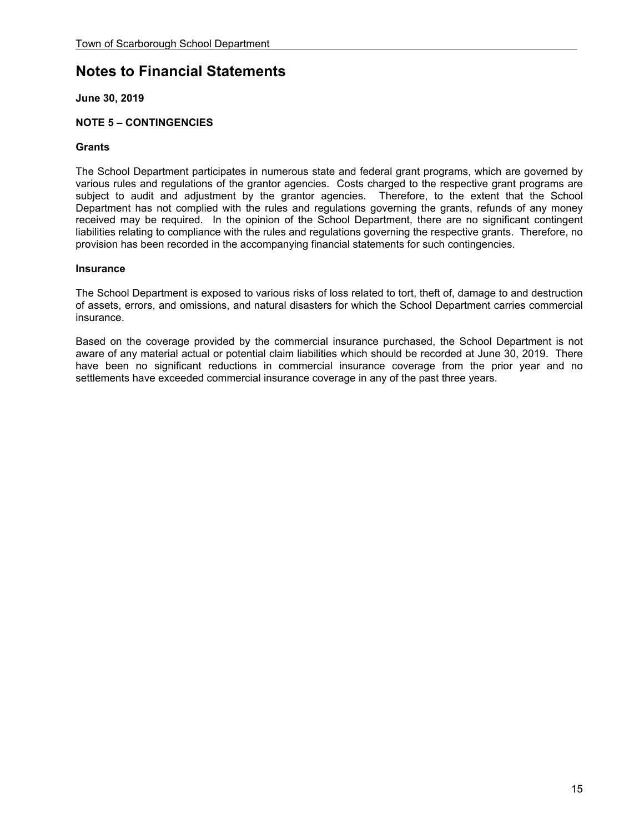**June 30, 2019** 

## **NOTE 5 – CONTINGENCIES**

### **Grants**

The School Department participates in numerous state and federal grant programs, which are governed by various rules and regulations of the grantor agencies. Costs charged to the respective grant programs are subject to audit and adjustment by the grantor agencies. Therefore, to the extent that the School Department has not complied with the rules and regulations governing the grants, refunds of any money received may be required. In the opinion of the School Department, there are no significant contingent liabilities relating to compliance with the rules and regulations governing the respective grants. Therefore, no provision has been recorded in the accompanying financial statements for such contingencies.

### **Insurance**

The School Department is exposed to various risks of loss related to tort, theft of, damage to and destruction of assets, errors, and omissions, and natural disasters for which the School Department carries commercial insurance.

Based on the coverage provided by the commercial insurance purchased, the School Department is not aware of any material actual or potential claim liabilities which should be recorded at June 30, 2019. There have been no significant reductions in commercial insurance coverage from the prior year and no settlements have exceeded commercial insurance coverage in any of the past three years.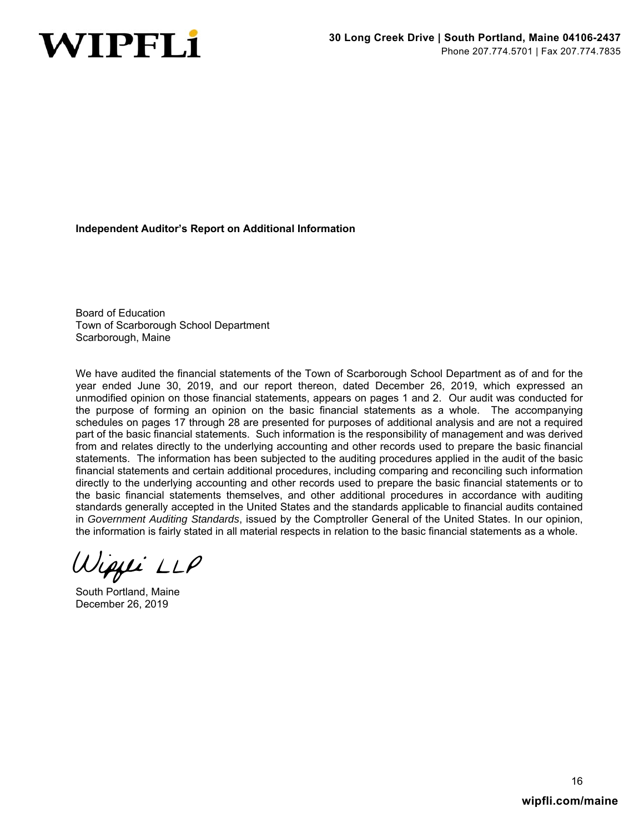

## **Independent Auditor's Report on Additional Information**

Board of Education Town of Scarborough School Department Scarborough, Maine

We have audited the financial statements of the Town of Scarborough School Department as of and for the year ended June 30, 2019, and our report thereon, dated December 26, 2019, which expressed an unmodified opinion on those financial statements, appears on pages 1 and 2. Our audit was conducted for the purpose of forming an opinion on the basic financial statements as a whole. The accompanying schedules on pages 17 through 28 are presented for purposes of additional analysis and are not a required part of the basic financial statements. Such information is the responsibility of management and was derived from and relates directly to the underlying accounting and other records used to prepare the basic financial statements. The information has been subjected to the auditing procedures applied in the audit of the basic financial statements and certain additional procedures, including comparing and reconciling such information directly to the underlying accounting and other records used to prepare the basic financial statements or to the basic financial statements themselves, and other additional procedures in accordance with auditing standards generally accepted in the United States and the standards applicable to financial audits contained in *Government Auditing Standards*, issued by the Comptroller General of the United States. In our opinion, the information is fairly stated in all material respects in relation to the basic financial statements as a whole.

Wippi LLP

South Portland, Maine December 26, 2019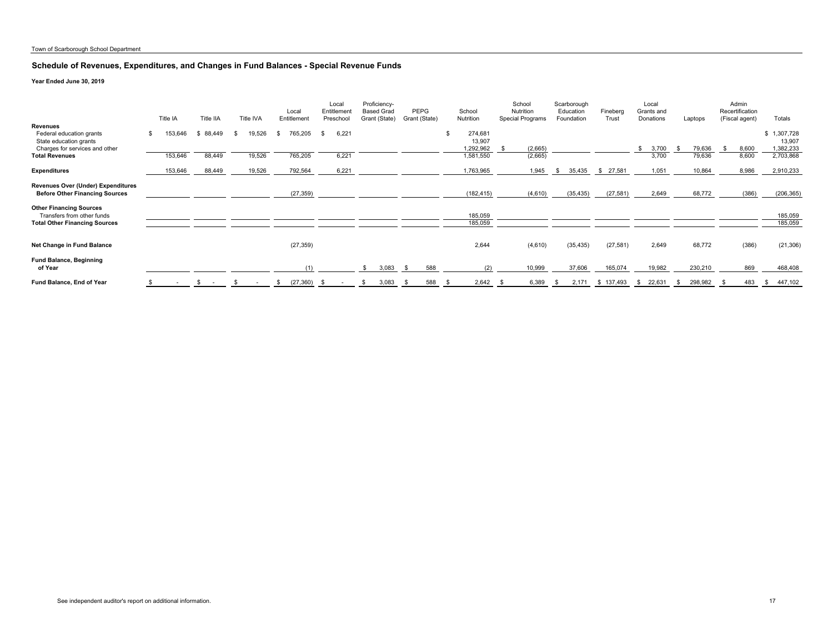#### **Schedule of Revenues, Expenditures, and Changes in Fund Balances - Special Revenue Funds**

|                                                                                                                                  | Title IA                 | Title IIA          | Title IVA        |     | Local<br>Entitlement | Local<br>Entitlement<br>Preschool | Proficiency-<br><b>Based Grad</b><br>Grant (State) | PEPG<br>Grant (State) |     | School<br>Nutrition                         | School<br>Nutrition<br><b>Special Programs</b> |                    |      |           |           |                |                  |                |                                                 |  |  |  |  |  |  |  |  |  |  | Scarborough<br>Education<br>Foundation | Fineberg<br>Trust | Local<br>Grants and<br>Donations | Laptops | Admin<br>Recertification<br>(Fiscal agent) | Totals |
|----------------------------------------------------------------------------------------------------------------------------------|--------------------------|--------------------|------------------|-----|----------------------|-----------------------------------|----------------------------------------------------|-----------------------|-----|---------------------------------------------|------------------------------------------------|--------------------|------|-----------|-----------|----------------|------------------|----------------|-------------------------------------------------|--|--|--|--|--|--|--|--|--|--|----------------------------------------|-------------------|----------------------------------|---------|--------------------------------------------|--------|
| <b>Revenues</b><br>Federal education grants<br>State education grants<br>Charges for services and other<br><b>Total Revenues</b> | \$<br>153,646<br>153,646 | \$88,449<br>88,449 | 19,526<br>19,526 | -SS | 765,205<br>765,205   | 6,221<br>6,221                    |                                                    |                       |     | 274,681<br>13,907<br>1,292,962<br>1,581,550 |                                                | (2,665)<br>(2,665) |      |           |           | 3,700<br>3,700 | 79,636<br>79,636 | 8,600<br>8,600 | \$1,307,728<br>13,907<br>1,382,233<br>2,703,868 |  |  |  |  |  |  |  |  |  |  |                                        |                   |                                  |         |                                            |        |
| <b>Expenditures</b>                                                                                                              | 153,646                  | 88,449             | 19,526           |     | 792,564              | 6,221                             |                                                    |                       |     | 1,763,965                                   |                                                | $1,945$ \$         |      | 35,435    | \$ 27,581 | 1,051          | 10,864           | 8,986          | 2,910,233                                       |  |  |  |  |  |  |  |  |  |  |                                        |                   |                                  |         |                                            |        |
| <b>Revenues Over (Under) Expenditures</b><br><b>Before Other Financing Sources</b>                                               |                          |                    |                  |     | (27, 359)            |                                   |                                                    |                       |     | (182, 415)                                  |                                                | (4,610)            |      | (35, 435) | (27, 581) | 2,649          | 68,772           | (386)          | (206, 365)                                      |  |  |  |  |  |  |  |  |  |  |                                        |                   |                                  |         |                                            |        |
| <b>Other Financing Sources</b><br>Transfers from other funds<br><b>Total Other Financing Sources</b>                             |                          |                    |                  |     |                      |                                   |                                                    |                       |     | 185,059<br>185,059                          |                                                |                    |      |           |           |                |                  |                | 185,059<br>185,059                              |  |  |  |  |  |  |  |  |  |  |                                        |                   |                                  |         |                                            |        |
| Net Change in Fund Balance                                                                                                       |                          |                    |                  |     | (27, 359)            |                                   |                                                    |                       |     | 2,644                                       |                                                | (4,610)            |      | (35, 435) | (27, 581) | 2,649          | 68,772           | (386)          | (21, 306)                                       |  |  |  |  |  |  |  |  |  |  |                                        |                   |                                  |         |                                            |        |
| <b>Fund Balance, Beginning</b><br>of Year                                                                                        |                          |                    |                  |     |                      |                                   | 3,083                                              |                       | 588 | (2)                                         |                                                | 10,999             |      | 37,606    | 165,074   | 19,982         | 230,210          | 869            | 468,408                                         |  |  |  |  |  |  |  |  |  |  |                                        |                   |                                  |         |                                            |        |
| Fund Balance, End of Year                                                                                                        |                          |                    |                  |     | (27, 360)            |                                   | 3,083                                              |                       | 588 | 2,642                                       |                                                | 6,389              | - \$ | 2.171     | \$137,493 | \$<br>22,631   | 298,982          | 483            | \$<br>447,102                                   |  |  |  |  |  |  |  |  |  |  |                                        |                   |                                  |         |                                            |        |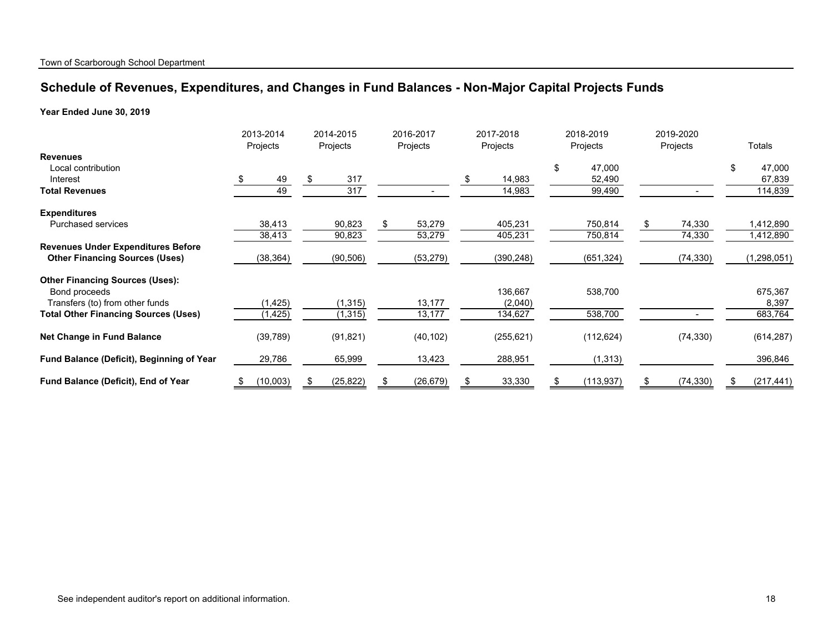# **Schedule of Revenues, Expenditures, and Changes in Fund Balances - Non-Major Capital Projects Funds**

|                                             | 2013-2014<br>Projects | 2014-2015<br>Projects | 2016-2017<br>Projects | 2017-2018<br>Projects | 2018-2019<br>Projects | 2019-2020<br>Projects | Totals        |
|---------------------------------------------|-----------------------|-----------------------|-----------------------|-----------------------|-----------------------|-----------------------|---------------|
| <b>Revenues</b>                             |                       |                       |                       |                       |                       |                       |               |
| Local contribution                          |                       |                       |                       |                       | \$<br>47,000          |                       | 47,000        |
| Interest                                    | 49                    | 317<br>\$             |                       | 14,983<br>-55         | 52,490                |                       | 67,839        |
| <b>Total Revenues</b>                       | 49                    | 317                   |                       | 14,983                | 99,490                |                       | 114,839       |
| <b>Expenditures</b>                         |                       |                       |                       |                       |                       |                       |               |
| Purchased services                          | 38,413                | 90,823                | \$<br>53,279          | 405,231               | 750,814               | 74,330<br>\$          | 1,412,890     |
|                                             | 38,413                | 90,823                | 53,279                | 405,231               | 750,814               | 74,330                | 1,412,890     |
| <b>Revenues Under Expenditures Before</b>   |                       |                       |                       |                       |                       |                       |               |
| <b>Other Financing Sources (Uses)</b>       | (38, 364)             | (90, 506)             | (53, 279)             | (390,248)             | (651,324)             | (74, 330)             | (1, 298, 051) |
| <b>Other Financing Sources (Uses):</b>      |                       |                       |                       |                       |                       |                       |               |
| Bond proceeds                               |                       |                       |                       | 136,667               | 538,700               |                       | 675,367       |
| Transfers (to) from other funds             | (1, 425)              | (1, 315)              | 13,177                | (2,040)               |                       |                       | 8,397         |
| <b>Total Other Financing Sources (Uses)</b> | (1, 425)              | (1, 315)              | 13,177                | 134,627               | 538,700               |                       | 683,764       |
| Net Change in Fund Balance                  | (39, 789)             | (91, 821)             | (40, 102)             | (255, 621)            | (112, 624)            | (74, 330)             | (614, 287)    |
| Fund Balance (Deficit), Beginning of Year   | 29,786                | 65,999                | 13,423                | 288,951               | (1, 313)              |                       | 396,846       |
| Fund Balance (Deficit), End of Year         | (10,003)              | (25, 822)             | (26,679)              | 33,330                | (113, 937)            | (74,330)              | (217, 441)    |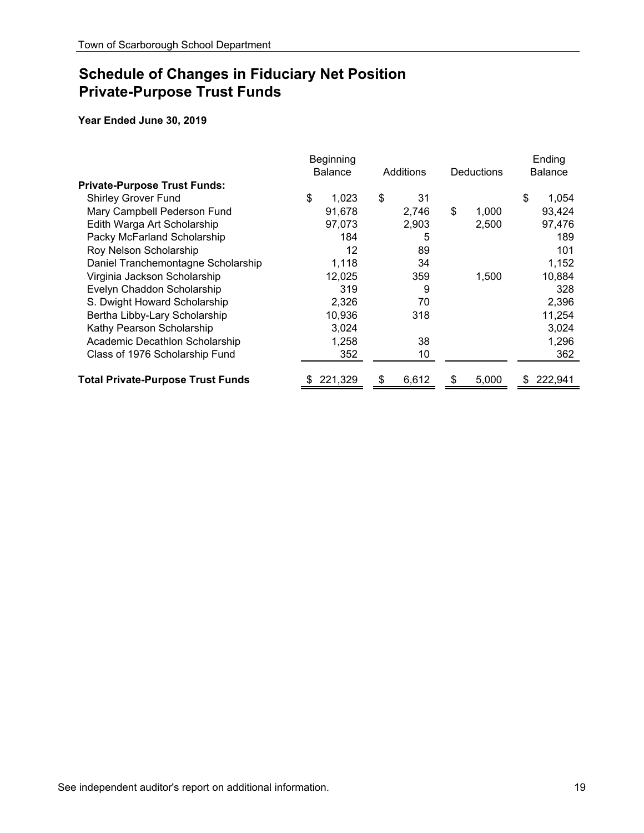# **Schedule of Changes in Fiduciary Net Position Private-Purpose Trust Funds**

|                                          | <b>Beginning</b> |           |    |                   | Ending         |
|------------------------------------------|------------------|-----------|----|-------------------|----------------|
|                                          | Balance          | Additions |    | <b>Deductions</b> | <b>Balance</b> |
| <b>Private-Purpose Trust Funds:</b>      |                  |           |    |                   |                |
| <b>Shirley Grover Fund</b>               | \$<br>1,023      | \$<br>31  |    |                   | \$<br>1,054    |
| Mary Campbell Pederson Fund              | 91.678           | 2,746     | \$ | 1,000             | 93,424         |
| Edith Warga Art Scholarship              | 97,073           | 2,903     |    | 2,500             | 97,476         |
| Packy McFarland Scholarship              | 184              | 5         |    |                   | 189            |
| Roy Nelson Scholarship                   | 12               | 89        |    |                   | 101            |
| Daniel Tranchemontagne Scholarship       | 1,118            | 34        |    |                   | 1,152          |
| Virginia Jackson Scholarship             | 12,025           | 359       |    | 1,500             | 10,884         |
| Evelyn Chaddon Scholarship               | 319              | 9         |    |                   | 328            |
| S. Dwight Howard Scholarship             | 2,326            | 70        |    |                   | 2,396          |
| Bertha Libby-Lary Scholarship            | 10,936           | 318       |    |                   | 11,254         |
| Kathy Pearson Scholarship                | 3,024            |           |    |                   | 3,024          |
| Academic Decathlon Scholarship           | 1,258            | 38        |    |                   | 1,296          |
| Class of 1976 Scholarship Fund           | 352              | 10        |    |                   | 362            |
| <b>Total Private-Purpose Trust Funds</b> | 221,329          | 6,612     | S  | 5,000             | 222,941        |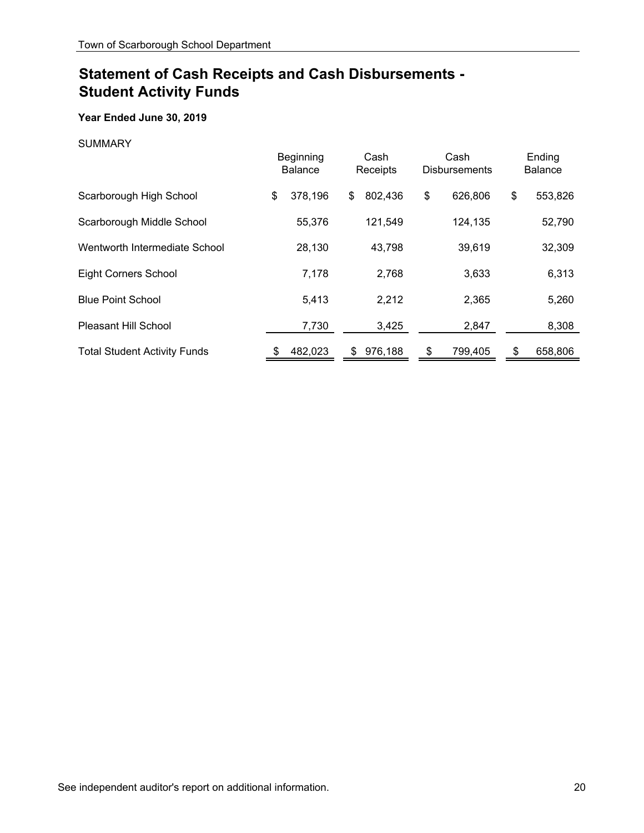# **Year Ended June 30, 2019**

## SUMMARY

|                                     | Beginning<br><b>Balance</b> | Cash<br>Receipts | Cash<br><b>Disbursements</b> | Ending<br><b>Balance</b> |
|-------------------------------------|-----------------------------|------------------|------------------------------|--------------------------|
| Scarborough High School             | \$<br>378,196               | \$<br>802,436    | \$<br>626,806                | \$<br>553,826            |
| Scarborough Middle School           | 55,376                      | 121,549          | 124,135                      | 52,790                   |
| Wentworth Intermediate School       | 28,130                      | 43,798           | 39,619                       | 32,309                   |
| <b>Eight Corners School</b>         | 7,178                       | 2,768            | 3,633                        | 6,313                    |
| <b>Blue Point School</b>            | 5,413                       | 2,212            | 2,365                        | 5,260                    |
| Pleasant Hill School                | 7,730                       | 3,425            | 2,847                        | 8,308                    |
| <b>Total Student Activity Funds</b> | 482,023                     | \$<br>976,188    | \$<br>799,405                | 658,806                  |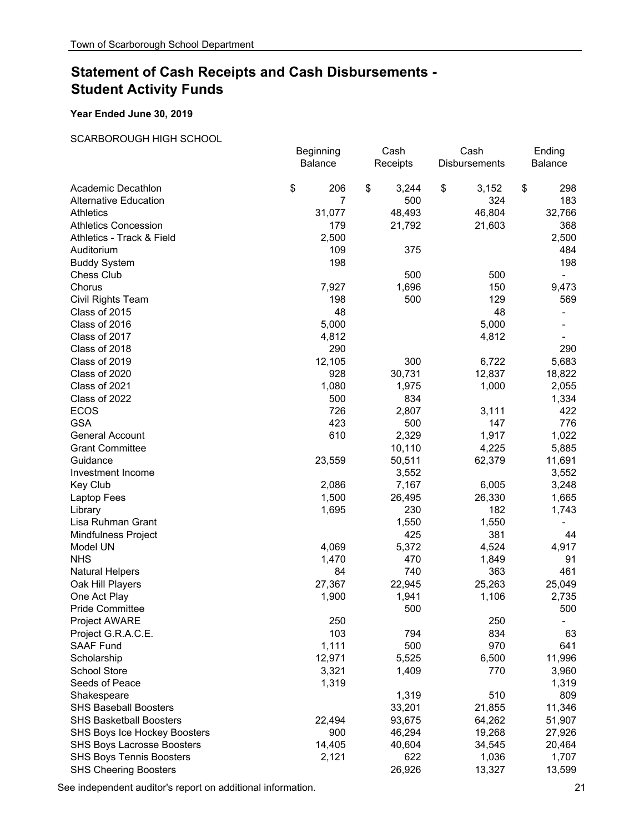### **Year Ended June 30, 2019**

#### SCARBOROUGH HIGH SCHOOL

|                                   | Beginning<br>Balance | Cash<br>Receipts | Cash<br><b>Disbursements</b> | Ending<br><b>Balance</b> |
|-----------------------------------|----------------------|------------------|------------------------------|--------------------------|
| Academic Decathlon                | \$<br>206            | \$<br>3,244      | \$<br>3,152                  | \$<br>298                |
| <b>Alternative Education</b>      | 7                    | 500              | 324                          | 183                      |
| <b>Athletics</b>                  | 31,077               | 48,493           | 46,804                       | 32,766                   |
| <b>Athletics Concession</b>       | 179                  | 21,792           | 21,603                       | 368                      |
| Athletics - Track & Field         | 2,500                |                  |                              | 2,500                    |
| Auditorium                        | 109                  | 375              |                              | 484                      |
| <b>Buddy System</b>               | 198                  |                  |                              | 198                      |
| <b>Chess Club</b>                 |                      | 500              | 500                          |                          |
| Chorus                            | 7,927                | 1,696            | 150                          | 9,473                    |
| Civil Rights Team                 | 198                  | 500              | 129                          | 569                      |
| Class of 2015                     | 48                   |                  | 48                           |                          |
| Class of 2016                     | 5,000                |                  | 5,000                        |                          |
| Class of 2017                     | 4,812                |                  | 4,812                        |                          |
| Class of 2018                     | 290                  |                  |                              | 290                      |
| Class of 2019                     | 12,105               | 300              | 6,722                        | 5,683                    |
| Class of 2020                     | 928                  | 30,731           | 12,837                       | 18,822                   |
| Class of 2021                     | 1,080                | 1,975            | 1,000                        | 2,055                    |
| Class of 2022                     | 500                  | 834              |                              | 1,334                    |
| <b>ECOS</b>                       | 726                  | 2,807            | 3,111                        | 422                      |
| <b>GSA</b>                        | 423                  | 500              | 147                          | 776                      |
| <b>General Account</b>            | 610                  | 2,329            | 1,917                        | 1,022                    |
| <b>Grant Committee</b>            |                      | 10,110           | 4,225                        | 5,885                    |
| Guidance                          | 23,559               | 50,511           | 62,379                       | 11,691                   |
| Investment Income                 |                      | 3,552            |                              | 3,552                    |
| Key Club                          | 2,086                | 7,167            | 6,005                        | 3,248                    |
| Laptop Fees                       | 1,500                | 26,495           | 26,330                       | 1,665                    |
| Library                           | 1,695                | 230              | 182                          | 1,743                    |
| Lisa Ruhman Grant                 |                      | 1,550            | 1,550                        |                          |
| Mindfulness Project               |                      | 425              | 381                          | 44                       |
| Model UN                          | 4,069                | 5,372            | 4,524                        | 4,917                    |
| <b>NHS</b>                        | 1,470                | 470              | 1,849                        | 91                       |
| <b>Natural Helpers</b>            | 84                   | 740              | 363                          | 461                      |
| Oak Hill Players                  | 27,367               | 22,945           | 25,263                       | 25,049                   |
| One Act Play                      | 1,900                | 1,941            | 1,106                        | 2,735                    |
| <b>Pride Committee</b>            |                      | 500              |                              | 500                      |
| Project AWARE                     | 250                  |                  | 250                          |                          |
| Project G.R.A.C.E.                | 103                  | 794              | 834                          | 63                       |
| <b>SAAF Fund</b>                  | 1,111                | 500              | 970                          | 641                      |
| Scholarship                       | 12,971               | 5,525            | 6,500                        | 11,996                   |
| <b>School Store</b>               | 3,321                | 1,409            | 770                          | 3,960                    |
| Seeds of Peace                    | 1,319                |                  |                              | 1,319                    |
| Shakespeare                       |                      | 1,319            | 510                          | 809                      |
| <b>SHS Baseball Boosters</b>      |                      | 33,201           | 21,855                       | 11,346                   |
| <b>SHS Basketball Boosters</b>    | 22,494               | 93,675           | 64,262                       | 51,907                   |
| SHS Boys Ice Hockey Boosters      | 900                  | 46,294           | 19,268                       | 27,926                   |
| <b>SHS Boys Lacrosse Boosters</b> | 14,405               | 40,604           | 34,545                       | 20,464                   |
| <b>SHS Boys Tennis Boosters</b>   | 2,121                | 622              | 1,036                        | 1,707                    |
| <b>SHS Cheering Boosters</b>      |                      | 26,926           | 13,327                       | 13,599                   |

See independent auditor's report on additional information. **21** and 21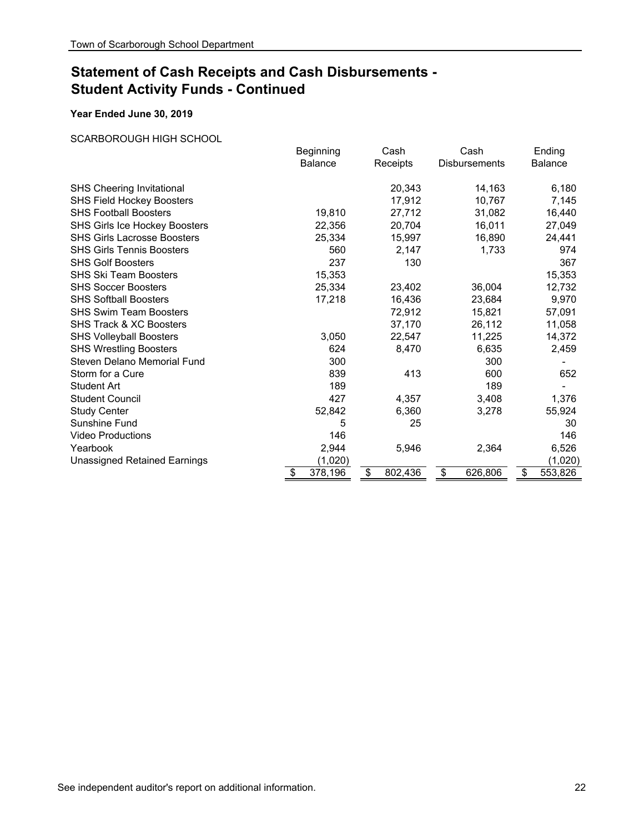# **Year Ended June 30, 2019**

#### SCARBOROUGH HIGH SCHOOL

|                                     | Beginning     | Cash          | Cash                 | Ending         |
|-------------------------------------|---------------|---------------|----------------------|----------------|
|                                     | Balance       | Receipts      | <b>Disbursements</b> | <b>Balance</b> |
| <b>SHS Cheering Invitational</b>    |               | 20,343        | 14,163               | 6,180          |
| <b>SHS Field Hockey Boosters</b>    |               | 17,912        | 10,767               | 7,145          |
| <b>SHS Football Boosters</b>        | 19,810        | 27,712        | 31,082               | 16,440         |
| SHS Girls Ice Hockey Boosters       | 22,356        | 20,704        | 16,011               | 27,049         |
| <b>SHS Girls Lacrosse Boosters</b>  | 25,334        | 15,997        | 16,890               | 24,441         |
| <b>SHS Girls Tennis Boosters</b>    | 560           | 2,147         | 1,733                | 974            |
| <b>SHS Golf Boosters</b>            | 237           | 130           |                      | 367            |
| <b>SHS Ski Team Boosters</b>        | 15,353        |               |                      | 15,353         |
| <b>SHS Soccer Boosters</b>          | 25,334        | 23,402        | 36,004               | 12,732         |
| <b>SHS Softball Boosters</b>        | 17,218        | 16,436        | 23,684               | 9,970          |
| <b>SHS Swim Team Boosters</b>       |               | 72,912        | 15,821               | 57,091         |
| SHS Track & XC Boosters             |               | 37,170        | 26,112               | 11,058         |
| <b>SHS Volleyball Boosters</b>      | 3,050         | 22,547        | 11,225               | 14,372         |
| <b>SHS Wrestling Boosters</b>       | 624           | 8,470         | 6,635                | 2,459          |
| Steven Delano Memorial Fund         | 300           |               | 300                  |                |
| Storm for a Cure                    | 839           | 413           | 600                  | 652            |
| <b>Student Art</b>                  | 189           |               | 189                  |                |
| <b>Student Council</b>              | 427           | 4,357         | 3,408                | 1,376          |
| <b>Study Center</b>                 | 52,842        | 6,360         | 3,278                | 55,924         |
| Sunshine Fund                       | 5             | 25            |                      | 30             |
| <b>Video Productions</b>            | 146           |               |                      | 146            |
| Yearbook                            | 2,944         | 5,946         | 2,364                | 6,526          |
| <b>Unassigned Retained Earnings</b> | (1,020)       |               |                      | (1,020)        |
|                                     | 378,196<br>\$ | \$<br>802,436 | \$<br>626,806        | \$<br>553,826  |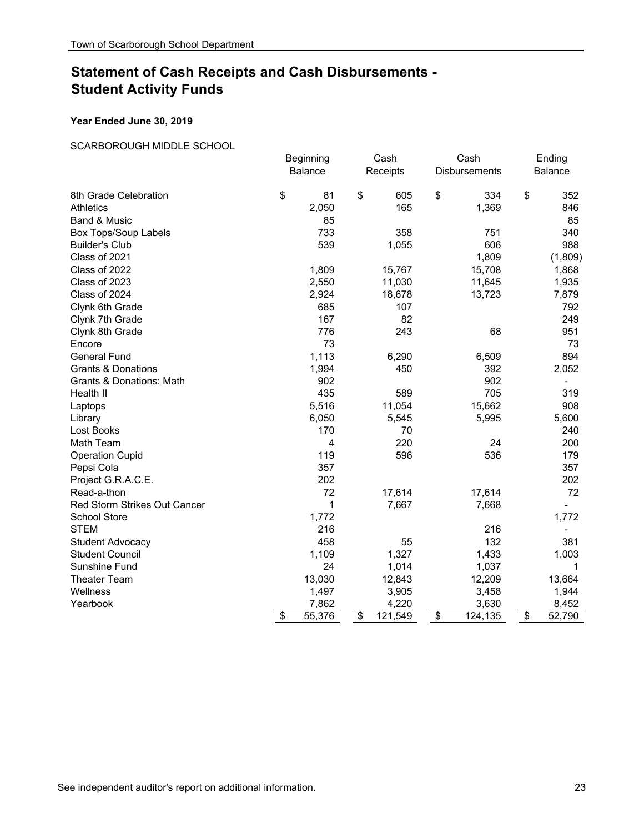### **Year Ended June 30, 2019**

# SCARBOROUGH MIDDLE SCHOOL

|                               | Beginning |         | Cash          |    | Cash                 |    | Ending         |  |
|-------------------------------|-----------|---------|---------------|----|----------------------|----|----------------|--|
|                               |           | Balance | Receipts      |    | <b>Disbursements</b> |    | <b>Balance</b> |  |
| 8th Grade Celebration         | \$        | 81      | \$<br>605     | \$ | 334                  | \$ | 352            |  |
| <b>Athletics</b>              |           | 2,050   | 165           |    | 1,369                |    | 846            |  |
| Band & Music                  |           | 85      |               |    |                      |    | 85             |  |
| <b>Box Tops/Soup Labels</b>   |           | 733     | 358           |    | 751                  |    | 340            |  |
| <b>Builder's Club</b>         |           | 539     | 1,055         |    | 606                  |    | 988            |  |
| Class of 2021                 |           |         |               |    | 1,809                |    | (1,809)        |  |
| Class of 2022                 |           | 1,809   | 15,767        |    | 15,708               |    | 1,868          |  |
| Class of 2023                 |           | 2,550   | 11,030        |    | 11,645               |    | 1,935          |  |
| Class of 2024                 |           | 2,924   | 18,678        |    | 13,723               |    | 7,879          |  |
| Clynk 6th Grade               |           | 685     | 107           |    |                      |    | 792            |  |
| Clynk 7th Grade               |           | 167     | 82            |    |                      |    | 249            |  |
| Clynk 8th Grade               |           | 776     | 243           |    | 68                   |    | 951            |  |
| Encore                        |           | 73      |               |    |                      |    | 73             |  |
| <b>General Fund</b>           |           | 1,113   | 6,290         |    | 6,509                |    | 894            |  |
| <b>Grants &amp; Donations</b> |           | 1,994   | 450           |    | 392                  |    | 2,052          |  |
| Grants & Donations: Math      |           | 902     |               |    | 902                  |    | -              |  |
| Health II                     |           | 435     | 589           |    | 705                  |    | 319            |  |
| Laptops                       |           | 5,516   | 11,054        |    | 15,662               |    | 908            |  |
| Library                       |           | 6,050   | 5,545         |    | 5,995                |    | 5,600          |  |
| Lost Books                    |           | 170     | 70            |    |                      |    | 240            |  |
| Math Team                     |           | 4       | 220           |    | 24                   |    | 200            |  |
| <b>Operation Cupid</b>        |           | 119     | 596           |    | 536                  |    | 179            |  |
| Pepsi Cola                    |           | 357     |               |    |                      |    | 357            |  |
| Project G.R.A.C.E.            |           | 202     |               |    |                      |    | 202            |  |
| Read-a-thon                   |           | 72      | 17,614        |    | 17,614               |    | 72             |  |
| Red Storm Strikes Out Cancer  |           | 1       | 7,667         |    | 7,668                |    |                |  |
| <b>School Store</b>           |           | 1,772   |               |    |                      |    | 1,772          |  |
| <b>STEM</b>                   |           | 216     |               |    | 216                  |    |                |  |
| Student Advocacy              |           | 458     | 55            |    | 132                  |    | 381            |  |
| <b>Student Council</b>        |           | 1,109   | 1,327         |    | 1,433                |    | 1,003          |  |
| Sunshine Fund                 |           | 24      | 1,014         |    | 1,037                |    | 1              |  |
| <b>Theater Team</b>           |           | 13,030  | 12,843        |    | 12,209               |    | 13,664         |  |
| Wellness                      |           | 1,497   | 3,905         |    | 3,458                |    | 1,944          |  |
| Yearbook                      |           | 7,862   | 4,220         |    | 3,630                |    | 8,452          |  |
|                               | \$        | 55,376  | \$<br>121,549 | \$ | 124,135              | \$ | 52,790         |  |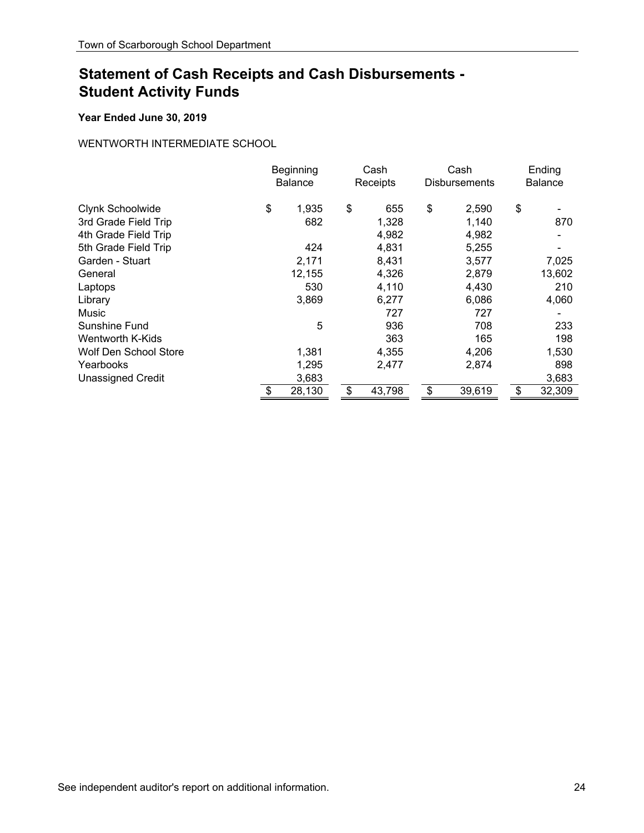# **Year Ended June 30, 2019**

# WENTWORTH INTERMEDIATE SCHOOL

|                          | <b>Beginning</b><br><b>Balance</b> | Cash<br>Receipts | Cash<br><b>Disbursements</b> | Ending<br><b>Balance</b> |
|--------------------------|------------------------------------|------------------|------------------------------|--------------------------|
| Clynk Schoolwide         | \$<br>1,935                        | \$<br>655        | \$<br>2,590                  | \$                       |
| 3rd Grade Field Trip     | 682                                | 1,328            | 1,140                        | 870                      |
| 4th Grade Field Trip     |                                    | 4,982            | 4,982                        |                          |
| 5th Grade Field Trip     | 424                                | 4,831            | 5,255                        |                          |
| Garden - Stuart          | 2,171                              | 8,431            | 3,577                        | 7,025                    |
| General                  | 12,155                             | 4,326            | 2,879                        | 13,602                   |
| Laptops                  | 530                                | 4,110            | 4,430                        | 210                      |
| Library                  | 3,869                              | 6,277            | 6,086                        | 4,060                    |
| Music                    |                                    | 727              | 727                          |                          |
| Sunshine Fund            | 5                                  | 936              | 708                          | 233                      |
| Wentworth K-Kids         |                                    | 363              | 165                          | 198                      |
| Wolf Den School Store    | 1,381                              | 4,355            | 4,206                        | 1,530                    |
| Yearbooks                | 1,295                              | 2,477            | 2,874                        | 898                      |
| <b>Unassigned Credit</b> | 3,683                              |                  |                              | 3,683                    |
|                          | \$<br>28,130                       | \$<br>43,798     | \$<br>39,619                 | \$<br>32,309             |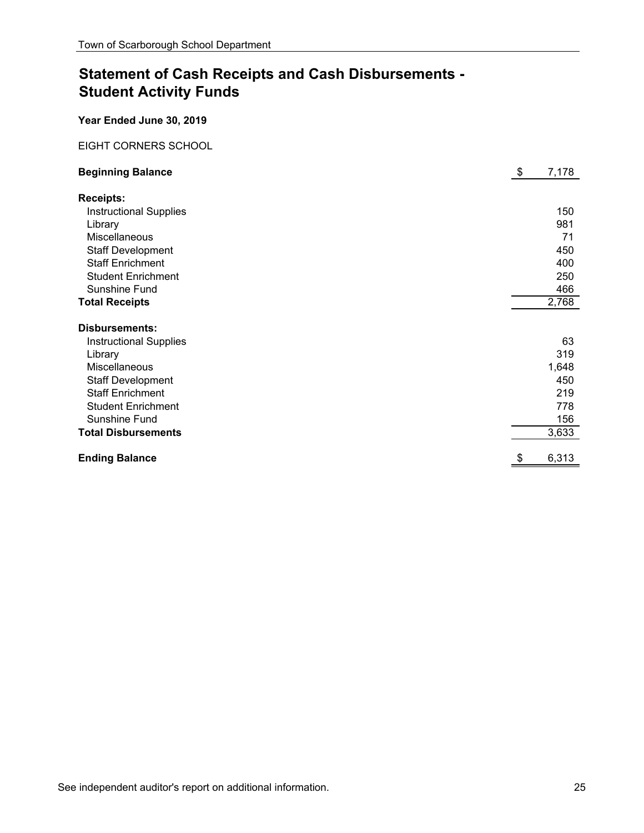# **Year Ended June 30, 2019**

# EIGHT CORNERS SCHOOL

| <b>Beginning Balance</b>      | \$<br>7,178 |
|-------------------------------|-------------|
| <b>Receipts:</b>              |             |
| <b>Instructional Supplies</b> | 150         |
| Library                       | 981         |
| Miscellaneous                 | 71          |
| <b>Staff Development</b>      | 450         |
| <b>Staff Enrichment</b>       | 400         |
| <b>Student Enrichment</b>     | 250         |
| Sunshine Fund                 | 466         |
| <b>Total Receipts</b>         | 2,768       |
| <b>Disbursements:</b>         |             |
| <b>Instructional Supplies</b> | 63          |
| Library                       | 319         |
| Miscellaneous                 | 1,648       |
| <b>Staff Development</b>      | 450         |
| <b>Staff Enrichment</b>       | 219         |
| <b>Student Enrichment</b>     | 778         |
| Sunshine Fund                 | 156         |
| <b>Total Disbursements</b>    | 3,633       |
| <b>Ending Balance</b>         | \$<br>6,313 |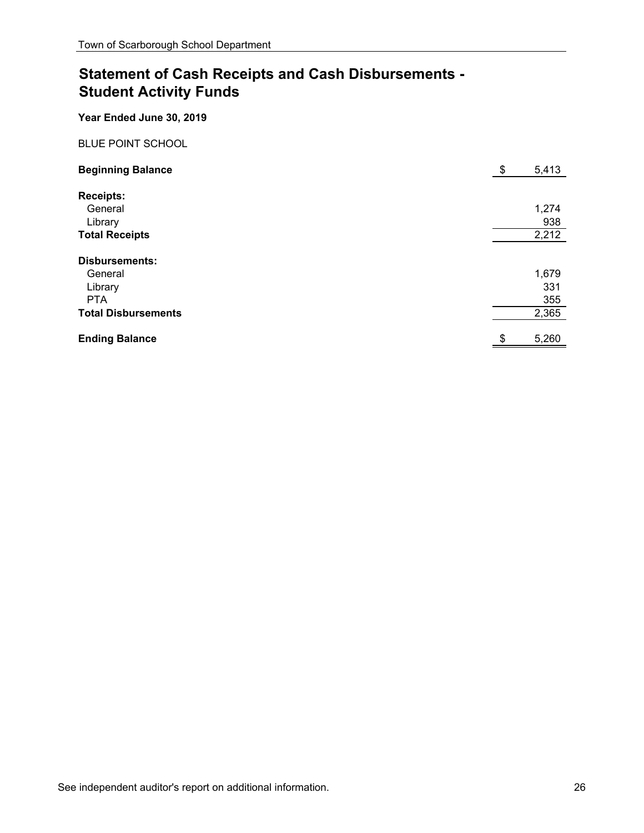**Year Ended June 30, 2019**

# BLUE POINT SCHOOL

| <b>Beginning Balance</b>   | \$<br>5,413 |
|----------------------------|-------------|
| <b>Receipts:</b>           |             |
| General                    | 1,274       |
| Library                    | 938         |
| <b>Total Receipts</b>      | 2,212       |
| <b>Disbursements:</b>      |             |
| General                    | 1,679       |
| Library                    | 331         |
| <b>PTA</b>                 | 355         |
| <b>Total Disbursements</b> | 2,365       |
| <b>Ending Balance</b>      | 5,260       |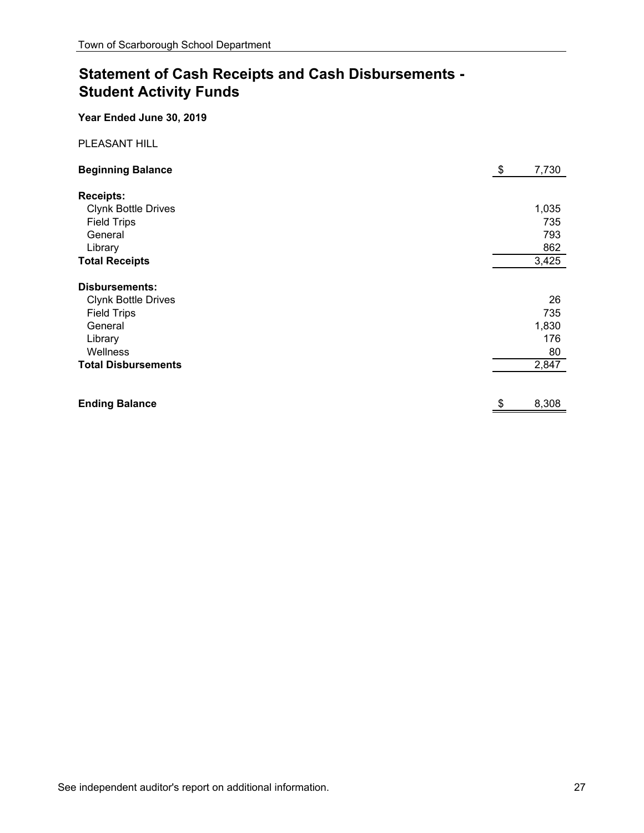**Year Ended June 30, 2019**

# PLEASANT HILL

| <b>Beginning Balance</b>   | 7,730<br>\$ |
|----------------------------|-------------|
| <b>Receipts:</b>           |             |
| <b>Clynk Bottle Drives</b> | 1,035       |
| <b>Field Trips</b>         | 735         |
| General                    | 793         |
| Library                    | 862         |
| <b>Total Receipts</b>      | 3,425       |
| <b>Disbursements:</b>      |             |
| <b>Clynk Bottle Drives</b> | 26          |
| <b>Field Trips</b>         | 735         |
| General                    | 1,830       |
| Library                    | 176         |
| Wellness                   | 80          |
| <b>Total Disbursements</b> | 2,847       |
| <b>Ending Balance</b>      | 8,308       |
|                            |             |